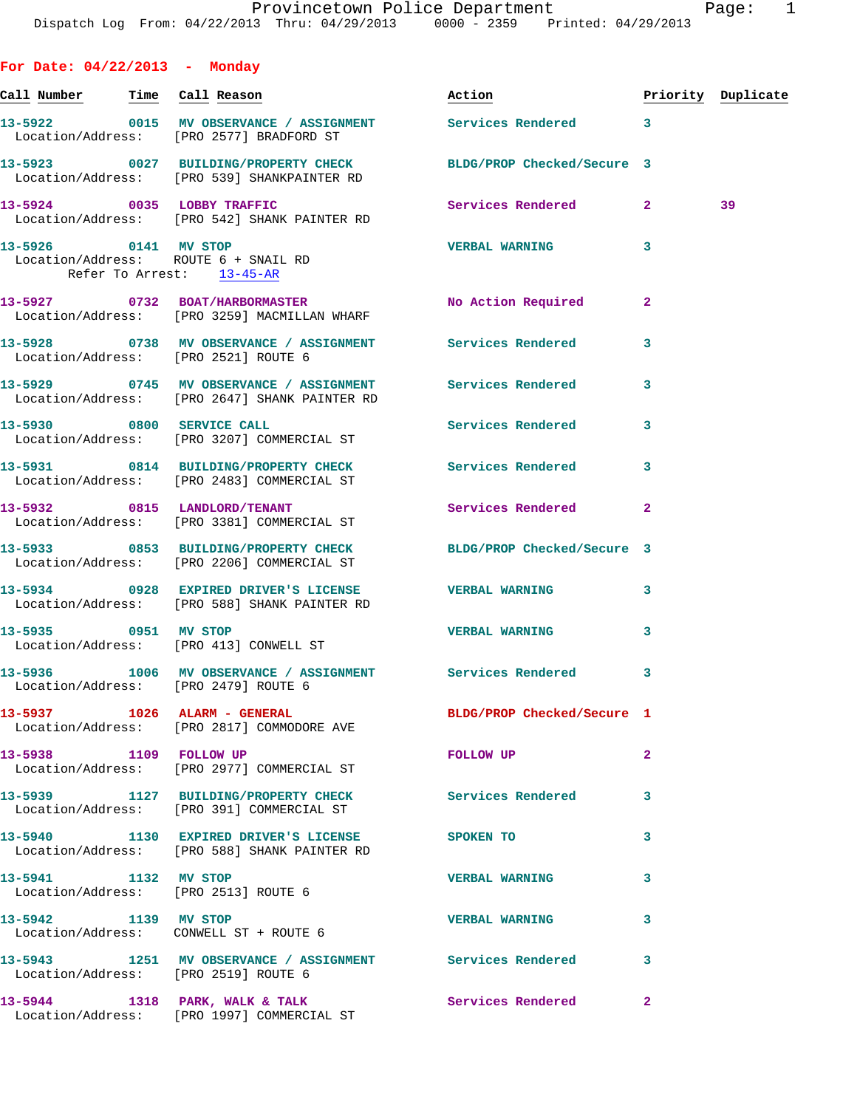**For Date: 04/22/2013 - Monday Call Number Time Call Reason Action Priority Duplicate 13-5922 0015 MV OBSERVANCE / ASSIGNMENT Services Rendered 3**  Location/Address: [PRO 2577] BRADFORD ST **13-5923 0027 BUILDING/PROPERTY CHECK BLDG/PROP Checked/Secure 3**  Location/Address: [PRO 539] SHANKPAINTER RD **13-5924 0035 LOBBY TRAFFIC Services Rendered 2 39**  Location/Address: [PRO 542] SHANK PAINTER RD **13-5926 0141 MV STOP VERBAL WARNING 3**  Location/Address: ROUTE 6 + SNAIL RD Refer To Arrest: 13-45-AR 13-5927 0732 BOAT/HARBORMASTER No Action Required 2 Location/Address: [PRO 3259] MACMILLAN WHARF **13-5928 0738 MV OBSERVANCE / ASSIGNMENT Services Rendered 3**  Location/Address: [PRO 2521] ROUTE 6 **13-5929 0745 MV OBSERVANCE / ASSIGNMENT Services Rendered 3**  Location/Address: [PRO 2647] SHANK PAINTER RD **13-5930 0800 SERVICE CALL Services Rendered 3**  Location/Address: [PRO 3207] COMMERCIAL ST **13-5931 0814 BUILDING/PROPERTY CHECK Services Rendered 3**  Location/Address: [PRO 2483] COMMERCIAL ST **13-5932 0815 LANDLORD/TENANT Services Rendered 2**  Location/Address: [PRO 3381] COMMERCIAL ST **13-5933 0853 BUILDING/PROPERTY CHECK BLDG/PROP Checked/Secure 3**  Location/Address: [PRO 2206] COMMERCIAL ST **13-5934 0928 EXPIRED DRIVER'S LICENSE VERBAL WARNING 3**  Location/Address: [PRO 588] SHANK PAINTER RD **13-5935 0951 MV STOP VERBAL WARNING 3**  Location/Address: [PRO 413] CONWELL ST **13-5936 1006 MV OBSERVANCE / ASSIGNMENT Services Rendered 3**  Location/Address: [PRO 2479] ROUTE 6 **13-5937 1026 ALARM - GENERAL BLDG/PROP Checked/Secure 1**  Location/Address: [PRO 2817] COMMODORE AVE **13-5938 1109 FOLLOW UP FOLLOW UP 2**  Location/Address: [PRO 2977] COMMERCIAL ST **13-5939 1127 BUILDING/PROPERTY CHECK Services Rendered 3**  Location/Address: [PRO 391] COMMERCIAL ST **13-5940 1130 EXPIRED DRIVER'S LICENSE SPOKEN TO 3**  Location/Address: [PRO 588] SHANK PAINTER RD **13-5941 1132 MV STOP VERBAL WARNING 3**  Location/Address: [PRO 2513] ROUTE 6 **13-5942 1139 MV STOP VERBAL WARNING 3**  Location/Address: CONWELL ST + ROUTE 6 **13-5943 1251 MV OBSERVANCE / ASSIGNMENT Services Rendered 3** 

Location/Address: [PRO 2519] ROUTE 6

13-5944 1318 PARK, WALK & TALK **Services Rendered** 2 Location/Address: [PRO 1997] COMMERCIAL ST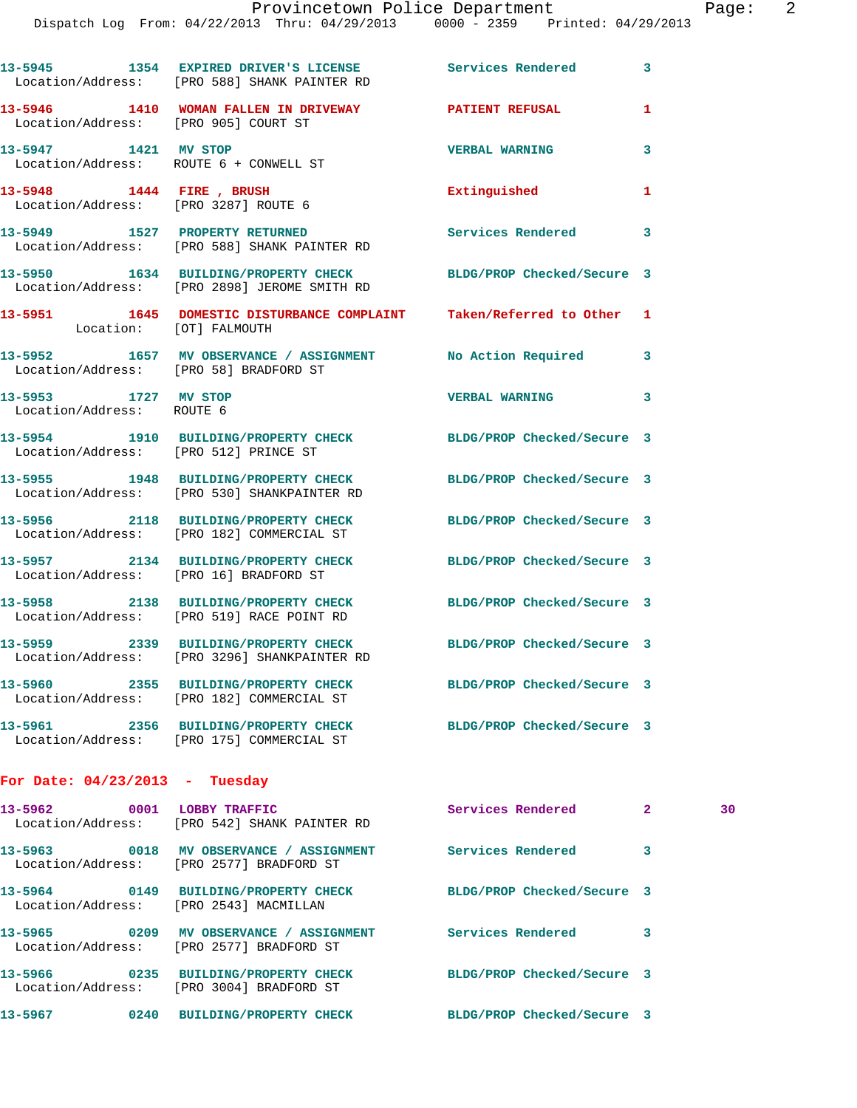|                                                                | 13-5945 1354 EXPIRED DRIVER'S LICENSE Services Rendered<br>Location/Address: [PRO 588] SHANK PAINTER RD         |                            | 3            |    |
|----------------------------------------------------------------|-----------------------------------------------------------------------------------------------------------------|----------------------------|--------------|----|
| Location/Address: [PRO 905] COURT ST                           | 13-5946 1410 WOMAN FALLEN IN DRIVEWAY PATIENT REFUSAL                                                           |                            | 1            |    |
| 13-5947 1421 MV STOP<br>Location/Address: ROUTE 6 + CONWELL ST |                                                                                                                 | <b>VERBAL WARNING</b>      | 3            |    |
| 13-5948 1444 FIRE, BRUSH                                       | Location/Address: [PRO 3287] ROUTE 6                                                                            | Extinguished               | 1            |    |
|                                                                | 13-5949 1527 PROPERTY RETURNED<br>Location/Address: [PRO 588] SHANK PAINTER RD                                  | <b>Services Rendered</b>   | 3            |    |
|                                                                | 13-5950 1634 BUILDING/PROPERTY CHECK BLDG/PROP Checked/Secure 3<br>Location/Address: [PRO 2898] JEROME SMITH RD |                            |              |    |
| Location: [OT] FALMOUTH                                        | 13-5951 1645 DOMESTIC DISTURBANCE COMPLAINT Taken/Referred to Other 1                                           |                            |              |    |
| Location/Address: [PRO 58] BRADFORD ST                         | 13-5952 1657 MV OBSERVANCE / ASSIGNMENT No Action Required 3                                                    |                            |              |    |
| 13-5953 1727 MV STOP<br>Location/Address: ROUTE 6              |                                                                                                                 | <b>VERBAL WARNING</b>      | 3            |    |
| Location/Address: [PRO 512] PRINCE ST                          | 13-5954 1910 BUILDING/PROPERTY CHECK BLDG/PROP Checked/Secure 3                                                 |                            |              |    |
|                                                                | 13-5955 1948 BUILDING/PROPERTY CHECK BLDG/PROP Checked/Secure 3<br>Location/Address: [PRO 530] SHANKPAINTER RD  |                            |              |    |
|                                                                | 13-5956 2118 BUILDING/PROPERTY CHECK<br>Location/Address: [PRO 182] COMMERCIAL ST                               | BLDG/PROP Checked/Secure 3 |              |    |
| Location/Address: [PRO 16] BRADFORD ST                         | 13-5957 2134 BUILDING/PROPERTY CHECK                                                                            | BLDG/PROP Checked/Secure 3 |              |    |
|                                                                | 13-5958 2138 BUILDING/PROPERTY CHECK<br>Location/Address: [PRO 519] RACE POINT RD                               | BLDG/PROP Checked/Secure 3 |              |    |
|                                                                | 13-5959 2339 BUILDING/PROPERTY CHECK BLDG/PROP Checked/Secure 3<br>Location/Address: [PRO 3296] SHANKPAINTER RD |                            |              |    |
|                                                                | 13-5960 2355 BUILDING/PROPERTY CHECK<br>Location/Address: [PRO 182] COMMERCIAL ST                               | BLDG/PROP Checked/Secure 3 |              |    |
|                                                                | 13-5961 2356 BUILDING/PROPERTY CHECK BLDG/PROP Checked/Secure 3<br>Location/Address: [PRO 175] COMMERCIAL ST    |                            |              |    |
| For Date: $04/23/2013$ - Tuesday                               |                                                                                                                 |                            |              |    |
|                                                                | 13-5962 0001 LOBBY TRAFFIC<br>Location/Address: [PRO 542] SHANK PAINTER RD                                      | Services Rendered          | $\mathbf{2}$ | 30 |
|                                                                | 13-5963 0018 MV OBSERVANCE / ASSIGNMENT Services Rendered<br>Location/Address: [PRO 2577] BRADFORD ST           |                            | 3            |    |
| Location/Address: [PRO 2543] MACMILLAN                         | 13-5964 0149 BUILDING/PROPERTY CHECK BLDG/PROP Checked/Secure 3                                                 |                            |              |    |
|                                                                | 13-5965 0209 MV OBSERVANCE / ASSIGNMENT Services Rendered<br>Location/Address: [PRO 2577] BRADFORD ST           |                            | 3            |    |
|                                                                |                                                                                                                 |                            |              |    |

Location/Address: [PRO 3004] BRADFORD ST

## **13-5966 0235 BUILDING/PROPERTY CHECK BLDG/PROP Checked/Secure 3**

**13-5967 0240 BUILDING/PROPERTY CHECK BLDG/PROP Checked/Secure 3**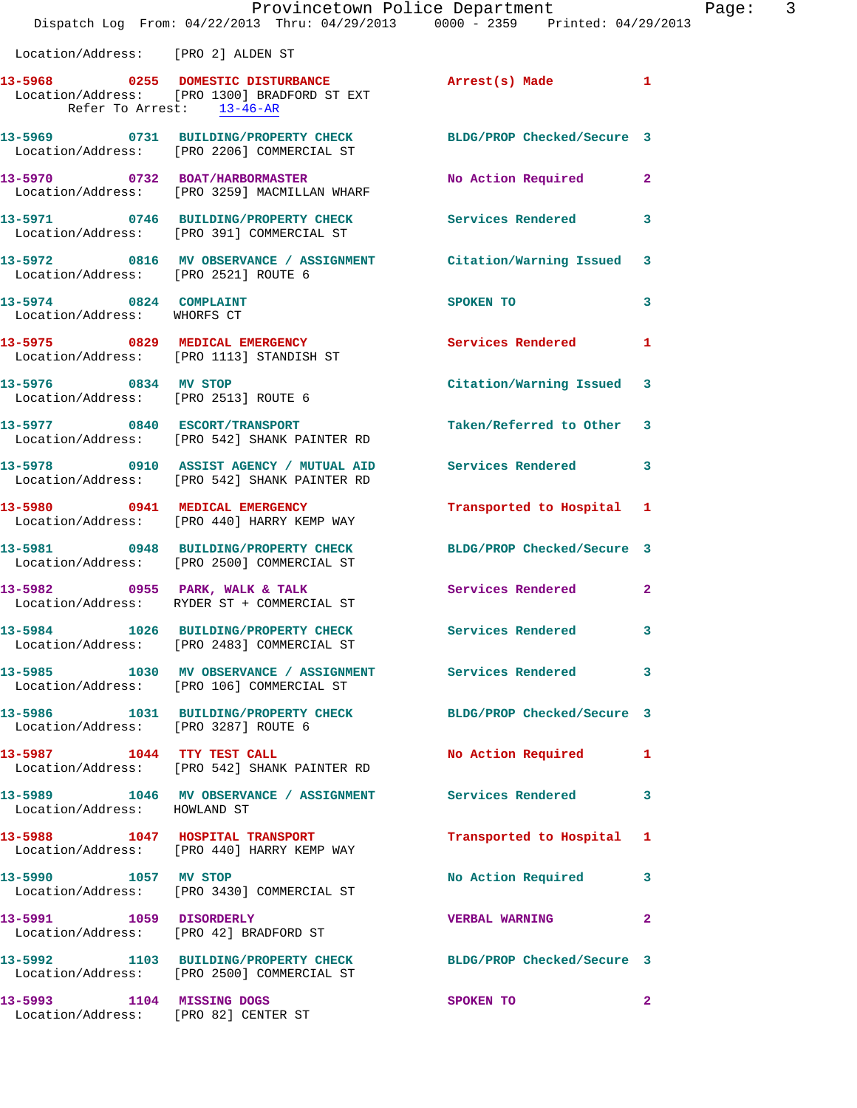|                                                                   | Provincetown Police Department<br>Dispatch Log From: 04/22/2013 Thru: 04/29/2013 0000 - 2359 Printed: 04/29/2013 |                            |                |
|-------------------------------------------------------------------|------------------------------------------------------------------------------------------------------------------|----------------------------|----------------|
| Location/Address: [PRO 2] ALDEN ST                                |                                                                                                                  |                            |                |
|                                                                   | 13-5968 			 0255 DOMESTIC DISTURBANCE 			 Arrest(s) Made                                                         |                            | 1              |
|                                                                   | Location/Address: [PRO 1300] BRADFORD ST EXT<br>Refer To Arrest: 13-46-AR                                        |                            |                |
|                                                                   | 13-5969 0731 BUILDING/PROPERTY CHECK<br>Location/Address: [PRO 2206] COMMERCIAL ST                               | BLDG/PROP Checked/Secure 3 |                |
|                                                                   | 13-5970 0732 BOAT/HARBORMASTER<br>Location/Address: [PRO 3259] MACMILLAN WHARF                                   | No Action Required         | $\overline{2}$ |
|                                                                   | 13-5971 0746 BUILDING/PROPERTY CHECK<br>Location/Address: [PRO 391] COMMERCIAL ST                                | Services Rendered          | 3              |
| Location/Address: [PRO 2521] ROUTE 6                              | 13-5972 0816 MV OBSERVANCE / ASSIGNMENT Citation/Warning Issued                                                  |                            | 3              |
| 13-5974 0824 COMPLAINT<br>Location/Address: WHORFS CT             |                                                                                                                  | SPOKEN TO                  | 3              |
|                                                                   | 13-5975 0829 MEDICAL EMERGENCY<br>Location/Address: [PRO 1113] STANDISH ST                                       | <b>Services Rendered</b>   | 1              |
| 13-5976 0834 MV STOP                                              | Location/Address: [PRO 2513] ROUTE 6                                                                             | Citation/Warning Issued    | 3              |
|                                                                   | 13-5977 0840 ESCORT/TRANSPORT<br>Location/Address: [PRO 542] SHANK PAINTER RD                                    | Taken/Referred to Other    | 3              |
|                                                                   | 13-5978 0910 ASSIST AGENCY / MUTUAL AID Services Rendered<br>Location/Address: [PRO 542] SHANK PAINTER RD        |                            | 3              |
|                                                                   | 13-5980 0941 MEDICAL EMERGENCY<br>Location/Address: [PRO 440] HARRY KEMP WAY                                     | Transported to Hospital    | 1              |
|                                                                   | 13-5981 0948 BUILDING/PROPERTY CHECK<br>Location/Address: [PRO 2500] COMMERCIAL ST                               | BLDG/PROP Checked/Secure 3 |                |
|                                                                   | 13-5982 0955 PARK, WALK & TALK<br>Location/Address: RYDER ST + COMMERCIAL ST                                     | <b>Services Rendered</b>   | $\mathbf{2}$   |
|                                                                   | 13-5984 1026 BUILDING/PROPERTY CHECK<br>Location/Address: [PRO 2483] COMMERCIAL ST                               | <b>Services Rendered</b>   |                |
|                                                                   | 13-5985 1030 MV OBSERVANCE / ASSIGNMENT Services Rendered<br>Location/Address: [PRO 106] COMMERCIAL ST           |                            | 3              |
| Location/Address: [PRO 3287] ROUTE 6                              | 13-5986 1031 BUILDING/PROPERTY CHECK                                                                             | BLDG/PROP Checked/Secure 3 |                |
|                                                                   | 13-5987 1044 TTY TEST CALL<br>Location/Address: [PRO 542] SHANK PAINTER RD                                       | No Action Required         | 1              |
| Location/Address: HOWLAND ST                                      | 13-5989 1046 MV OBSERVANCE / ASSIGNMENT Services Rendered                                                        |                            | 3              |
|                                                                   | 13-5988 1047 HOSPITAL TRANSPORT<br>Location/Address: [PRO 440] HARRY KEMP WAY                                    | Transported to Hospital    | 1              |
| 13-5990 1057 MV STOP                                              | Location/Address: [PRO 3430] COMMERCIAL ST                                                                       | No Action Required         | 3              |
| 13-5991 1059 DISORDERLY                                           | Location/Address: [PRO 42] BRADFORD ST                                                                           | <b>VERBAL WARNING</b>      | $\mathbf{2}$   |
|                                                                   | 13-5992 1103 BUILDING/PROPERTY CHECK BLDG/PROP Checked/Secure 3<br>Location/Address: [PRO 2500] COMMERCIAL ST    |                            |                |
| 13-5993 1104 MISSING DOGS<br>Location/Address: [PRO 82] CENTER ST |                                                                                                                  | SPOKEN TO                  | $\mathbf{2}$   |

Page:  $3<sup>3</sup>$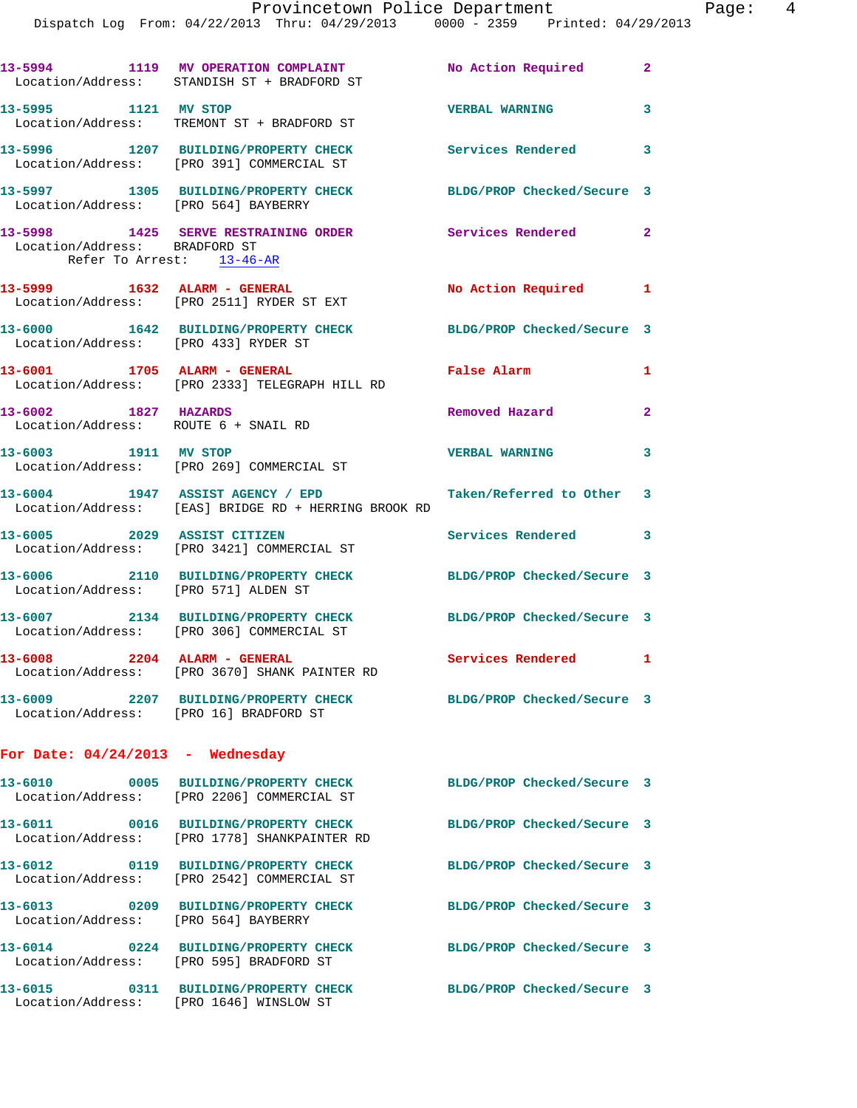|                                                              | Dispatch Log From: 04/22/2013 Thru: 04/29/2013 0000 - 2359 Printed: 04/29/2013           |                            |                |
|--------------------------------------------------------------|------------------------------------------------------------------------------------------|----------------------------|----------------|
|                                                              | 13-5994 1119 MV OPERATION COMPLAINT<br>Location/Address: STANDISH ST + BRADFORD ST       | No Action Required         | $\overline{2}$ |
| 13-5995 1121 MV STOP                                         | Location/Address: TREMONT ST + BRADFORD ST                                               | <b>VERBAL WARNING</b>      | 3              |
|                                                              | 13-5996 1207 BUILDING/PROPERTY CHECK<br>Location/Address: [PRO 391] COMMERCIAL ST        | Services Rendered          | 3              |
| Location/Address: [PRO 564] BAYBERRY                         | 13-5997 1305 BUILDING/PROPERTY CHECK                                                     | BLDG/PROP Checked/Secure 3 |                |
| Location/Address: BRADFORD ST                                | 13-5998 1425 SERVE RESTRAINING ORDER                                                     | Services Rendered          | $\overline{2}$ |
| Refer To Arrest: 13-46-AR                                    |                                                                                          |                            |                |
|                                                              | 13-5999 1632 ALARM - GENERAL<br>Location/Address: [PRO 2511] RYDER ST EXT                | No Action Required         | 1              |
| Location/Address: [PRO 433] RYDER ST                         | 13-6000 1642 BUILDING/PROPERTY CHECK                                                     | BLDG/PROP Checked/Secure 3 |                |
|                                                              | 13-6001 1705 ALARM - GENERAL<br>Location/Address: [PRO 2333] TELEGRAPH HILL RD           | False Alarm                | 1              |
| 13-6002 1827 HAZARDS<br>Location/Address: ROUTE 6 + SNAIL RD |                                                                                          | Removed Hazard             | 2              |
| 13-6003 1911 MV STOP                                         | Location/Address: [PRO 269] COMMERCIAL ST                                                | <b>VERBAL WARNING</b>      | 3              |
|                                                              | 13-6004 1947 ASSIST AGENCY / EPD<br>Location/Address: [EAS] BRIDGE RD + HERRING BROOK RD | Taken/Referred to Other    | 3              |
| 13-6005 2029 ASSIST CITIZEN                                  | Location/Address: [PRO 3421] COMMERCIAL ST                                               | Services Rendered          | 3              |
| Location/Address: [PRO 571] ALDEN ST                         | 13-6006 2110 BUILDING/PROPERTY CHECK                                                     | BLDG/PROP Checked/Secure 3 |                |
|                                                              | 13-6007 2134 BUILDING/PROPERTY CHECK<br>Location/Address: [PRO 306] COMMERCIAL ST        | BLDG/PROP Checked/Secure 3 |                |
| 13-6008 2204 ALARM - GENERAL                                 | Location/Address: [PRO 3670] SHANK PAINTER RD                                            | Services Rendered          | 1              |
| Location/Address: [PRO 16] BRADFORD ST                       | 13-6009 2207 BUILDING/PROPERTY CHECK                                                     | BLDG/PROP Checked/Secure 3 |                |
| For Date: $04/24/2013$ - Wednesday                           |                                                                                          |                            |                |
|                                                              | 13-6010 0005 BUILDING/PROPERTY CHECK<br>Location/Address: [PRO 2206] COMMERCIAL ST       | BLDG/PROP Checked/Secure 3 |                |
|                                                              | 13-6011 0016 BUILDING/PROPERTY CHECK<br>Location/Address: [PRO 1778] SHANKPAINTER RD     | BLDG/PROP Checked/Secure 3 |                |
|                                                              | Location/Address: [PRO 2542] COMMERCIAL ST                                               | BLDG/PROP Checked/Secure 3 |                |
| Location/Address: [PRO 564] BAYBERRY                         | 13-6013 0209 BUILDING/PROPERTY CHECK                                                     | BLDG/PROP Checked/Secure 3 |                |
| Location/Address: [PRO 595] BRADFORD ST                      | 13-6014 0224 BUILDING/PROPERTY CHECK                                                     | BLDG/PROP Checked/Secure 3 |                |
|                                                              | 13-6015 0311 BUILDING/PROPERTY CHECK<br>Location/Address: [PRO 1646] WINSLOW ST          | BLDG/PROP Checked/Secure 3 |                |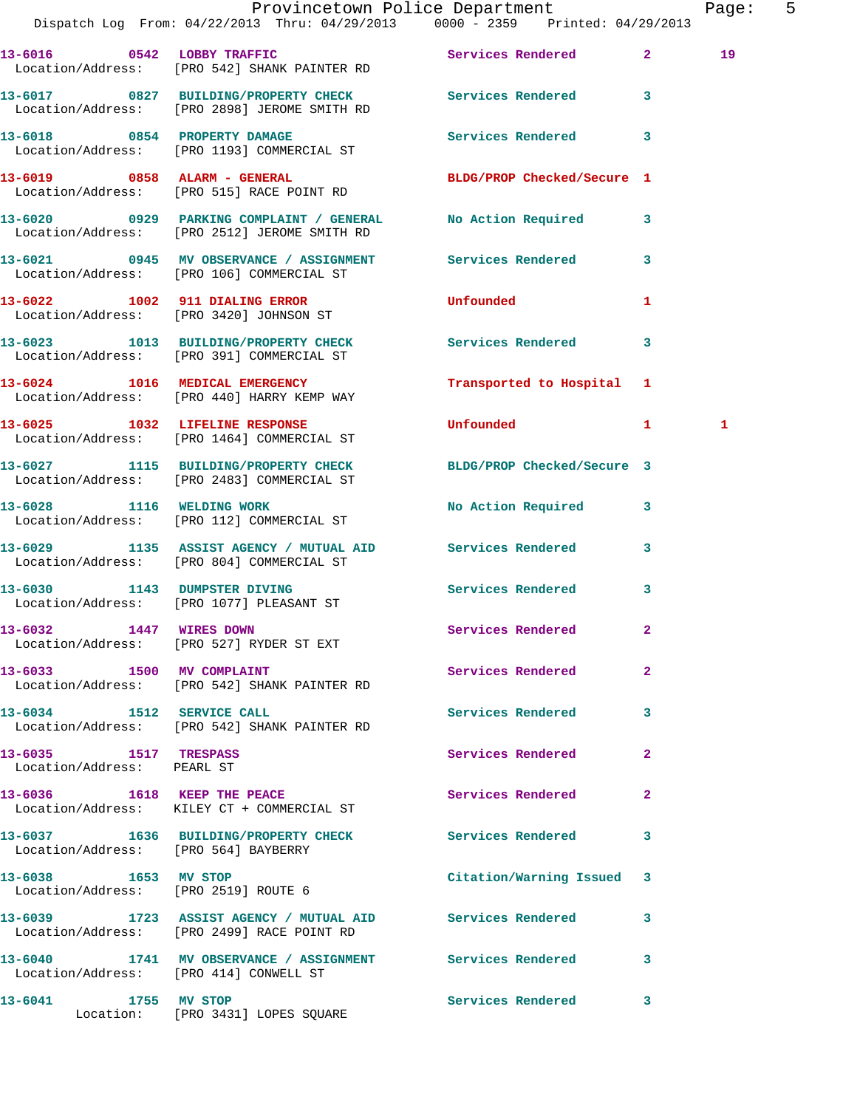|                                                     |                                                                                                               | Provincetown Police Department<br>Dispatch Log From: 04/22/2013 Thru: 04/29/2013 0000 - 2359 Printed: 04/29/2013 | Page: | 5 |
|-----------------------------------------------------|---------------------------------------------------------------------------------------------------------------|------------------------------------------------------------------------------------------------------------------|-------|---|
|                                                     | 13-6016 0542 LOBBY TRAFFIC<br>Location/Address: [PRO 542] SHANK PAINTER RD                                    | Services Rendered 2                                                                                              | 19    |   |
|                                                     | 13-6017 0827 BUILDING/PROPERTY CHECK Services Rendered 3<br>Location/Address: [PRO 2898] JEROME SMITH RD      |                                                                                                                  |       |   |
|                                                     | 13-6018 0854 PROPERTY DAMAGE<br>Location/Address: [PRO 1193] COMMERCIAL ST                                    | Services Rendered 3                                                                                              |       |   |
|                                                     | 13-6019 0858 ALARM - GENERAL<br>Location/Address: [PRO 515] RACE POINT RD                                     | BLDG/PROP Checked/Secure 1                                                                                       |       |   |
|                                                     | 13-6020 0929 PARKING COMPLAINT / GENERAL No Action Required 3<br>Location/Address: [PRO 2512] JEROME SMITH RD |                                                                                                                  |       |   |
|                                                     | 13-6021 0945 MV OBSERVANCE / ASSIGNMENT Services Rendered 3<br>Location/Address: [PRO 106] COMMERCIAL ST      |                                                                                                                  |       |   |
|                                                     | 13-6022 1002 911 DIALING ERROR<br>Location/Address: [PRO 3420] JOHNSON ST                                     | <b>Unfounded</b><br>$\mathbf{1}$                                                                                 |       |   |
|                                                     | 13-6023 1013 BUILDING/PROPERTY CHECK Services Rendered 3<br>Location/Address: [PRO 391] COMMERCIAL ST         |                                                                                                                  |       |   |
|                                                     | 13-6024 1016 MEDICAL EMERGENCY<br>Location/Address: [PRO 440] HARRY KEMP WAY                                  | Transported to Hospital 1                                                                                        |       |   |
|                                                     | 13-6025 1032 LIFELINE RESPONSE<br>Location/Address: [PRO 1464] COMMERCIAL ST                                  | Unfounded 1                                                                                                      | 1     |   |
|                                                     | 13-6027 1115 BUILDING/PROPERTY CHECK BLDG/PROP Checked/Secure 3<br>Location/Address: [PRO 2483] COMMERCIAL ST |                                                                                                                  |       |   |
|                                                     | 13-6028 1116 WELDING WORK<br>Location/Address: [PRO 112] COMMERCIAL ST                                        | No Action Required 3                                                                                             |       |   |
|                                                     | 13-6029 1135 ASSIST AGENCY / MUTUAL AID Services Rendered 3<br>Location/Address: [PRO 804] COMMERCIAL ST      |                                                                                                                  |       |   |
|                                                     | 13-6030 1143 DUMPSTER DIVING<br>Location/Address: [PRO 1077] PLEASANT ST                                      | Services Rendered 3                                                                                              |       |   |
| 13-6032 1447 WIRES DOWN                             | Location/Address: [PRO 527] RYDER ST EXT                                                                      | Services Rendered                                                                                                |       |   |
| 13-6033 1500 MV COMPLAINT                           | Location/Address: [PRO 542] SHANK PAINTER RD                                                                  | Services Rendered<br>$\overline{2}$                                                                              |       |   |
| 13-6034 1512 SERVICE CALL                           | Location/Address: [PRO 542] SHANK PAINTER RD                                                                  | Services Rendered 3                                                                                              |       |   |
| 13-6035 1517 TRESPASS<br>Location/Address: PEARL ST |                                                                                                               | Services Rendered<br>$\mathbf{2}$                                                                                |       |   |
|                                                     | 13-6036 1618 KEEP THE PEACE<br>Location/Address: KILEY CT + COMMERCIAL ST                                     | Services Rendered<br>$\mathbf{2}$                                                                                |       |   |
| Location/Address: [PRO 564] BAYBERRY                | 13-6037 1636 BUILDING/PROPERTY CHECK Services Rendered                                                        | 3                                                                                                                |       |   |
| 13-6038 1653 MV STOP                                | Location/Address: [PRO 2519] ROUTE 6                                                                          | Citation/Warning Issued 3                                                                                        |       |   |
|                                                     | 13-6039 1723 ASSIST AGENCY / MUTUAL AID Services Rendered<br>Location/Address: [PRO 2499] RACE POINT RD       | 3                                                                                                                |       |   |
| Location/Address: [PRO 414] CONWELL ST              | 13-6040 1741 MV OBSERVANCE / ASSIGNMENT Services Rendered                                                     | 3                                                                                                                |       |   |
| 13-6041 1755 MV STOP                                | Location: [PRO 3431] LOPES SQUARE                                                                             | Services Rendered<br>$\overline{\mathbf{3}}$                                                                     |       |   |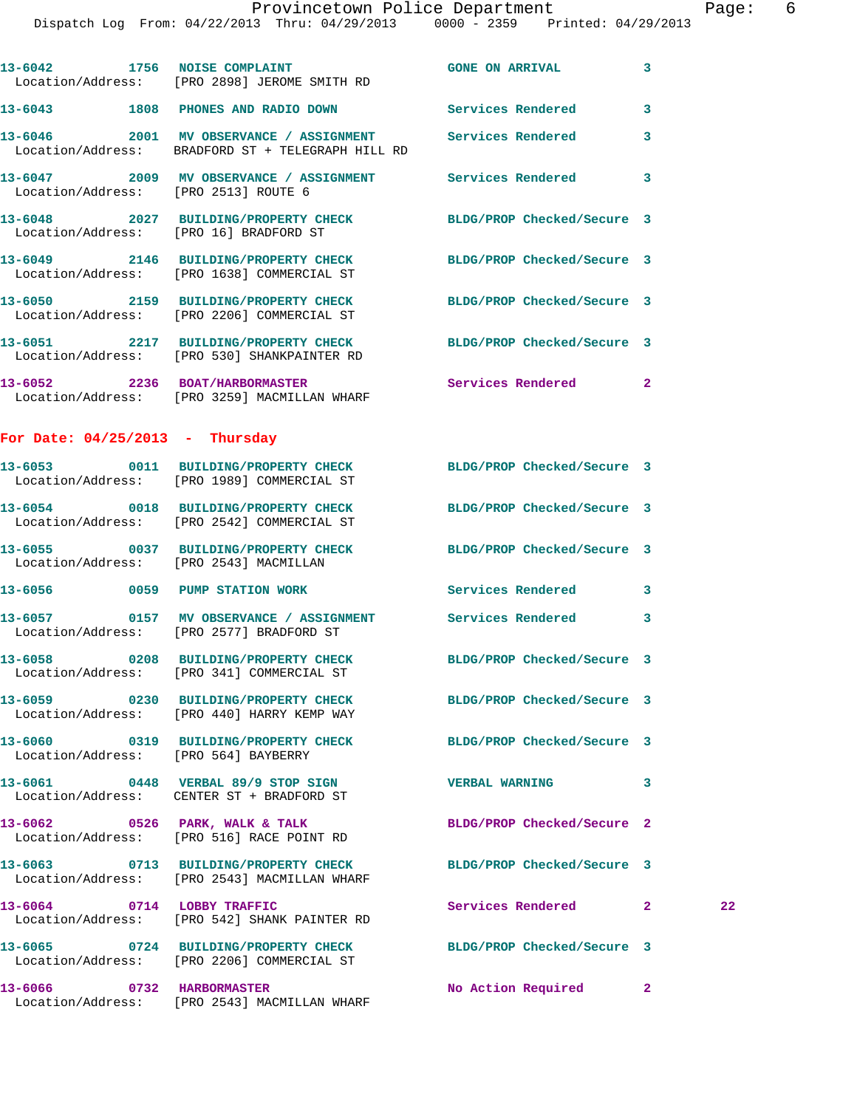|                                      | Dispatch Log From: 04/22/2013 Thru: 04/29/2013 0000 - 2359 Printed: 04/29/2013                                  | Provincetown Police Department |              | Page: 6 |  |
|--------------------------------------|-----------------------------------------------------------------------------------------------------------------|--------------------------------|--------------|---------|--|
|                                      | 13-6042 1756 NOISE COMPLAINT<br>Location/Address: [PRO 2898] JEROME SMITH RD                                    | <b>GONE ON ARRIVAL</b>         | 3            |         |  |
|                                      | 13-6043 1808 PHONES AND RADIO DOWN Services Rendered                                                            |                                | 3            |         |  |
|                                      | 13-6046 2001 MV OBSERVANCE / ASSIGNMENT Services Rendered<br>Location/Address: BRADFORD ST + TELEGRAPH HILL RD  |                                | 3            |         |  |
| Location/Address: [PRO 2513] ROUTE 6 | 13-6047 2009 MV OBSERVANCE / ASSIGNMENT Services Rendered                                                       |                                | $\mathbf{3}$ |         |  |
|                                      |                                                                                                                 | BLDG/PROP Checked/Secure 3     |              |         |  |
|                                      | 13-6049 2146 BUILDING/PROPERTY CHECK<br>Location/Address: [PRO 1638] COMMERCIAL ST                              | BLDG/PROP Checked/Secure 3     |              |         |  |
|                                      | 13-6050 2159 BUILDING/PROPERTY CHECK<br>Location/Address: [PRO 2206] COMMERCIAL ST                              | BLDG/PROP Checked/Secure 3     |              |         |  |
|                                      | 13-6051 2217 BUILDING/PROPERTY CHECK<br>Location/Address: [PRO 530] SHANKPAINTER RD                             | BLDG/PROP Checked/Secure 3     |              |         |  |
|                                      | 13-6052 2236 BOAT/HARBORMASTER<br>Location/Address: [PRO 3259] MACMILLAN WHARF                                  | <b>Services Rendered</b> 2     |              |         |  |
| For Date: $04/25/2013$ - Thursday    |                                                                                                                 |                                |              |         |  |
|                                      | 13-6053 0011 BUILDING/PROPERTY CHECK BLDG/PROP Checked/Secure 3<br>Location/Address: [PRO 1989] COMMERCIAL ST   |                                |              |         |  |
|                                      | 13-6054 0018 BUILDING/PROPERTY CHECK<br>Location/Address: [PRO 2542] COMMERCIAL ST                              | BLDG/PROP Checked/Secure 3     |              |         |  |
|                                      | 13-6055 0037 BUILDING/PROPERTY CHECK BLDG/PROP Checked/Secure 3<br>Location/Address: [PRO 2543] MACMILLAN       |                                |              |         |  |
|                                      | 13-6056 0059 PUMP STATION WORK Services Rendered 3                                                              |                                |              |         |  |
|                                      | Location/Address: [PRO 2577] BRADFORD ST                                                                        |                                | $\mathbf{3}$ |         |  |
|                                      | 13-6058 0208 BUILDING/PROPERTY CHECK BLDG/PROP Checked/Secure 3<br>Location/Address: [PRO 341] COMMERCIAL ST    |                                |              |         |  |
|                                      | 13-6059 0230 BUILDING/PROPERTY CHECK<br>Location/Address: [PRO 440] HARRY KEMP WAY                              | BLDG/PROP Checked/Secure 3     |              |         |  |
| Location/Address: [PRO 564] BAYBERRY | 13-6060 0319 BUILDING/PROPERTY CHECK BLDG/PROP Checked/Secure 3                                                 |                                |              |         |  |
|                                      | 13-6061 0448 VERBAL 89/9 STOP SIGN<br>Location/Address: CENTER ST + BRADFORD ST                                 | VERBAL WARNING 3               |              |         |  |
|                                      | $13-6062$ 0526 PARK, WALK & TALK<br>Location/Address: [PRO 516] RACE POINT RD                                   | BLDG/PROP Checked/Secure 2     |              |         |  |
|                                      | 13-6063 0713 BUILDING/PROPERTY CHECK BLDG/PROP Checked/Secure 3<br>Location/Address: [PRO 2543] MACMILLAN WHARF |                                |              |         |  |
|                                      | 13-6064 0714 LOBBY TRAFFIC<br>Location/Address: [PRO 542] SHANK PAINTER RD                                      | Services Rendered 2            |              | 22      |  |
|                                      | 13-6065 0724 BUILDING/PROPERTY CHECK BLDG/PROP Checked/Secure 3<br>Location/Address: [PRO 2206] COMMERCIAL ST   |                                |              |         |  |
|                                      | 13-6066 0732 HARBORMASTER<br>Location/Address: [PRO 2543] MACMILLAN WHARF                                       | No Action Required 2           |              |         |  |
|                                      |                                                                                                                 |                                |              |         |  |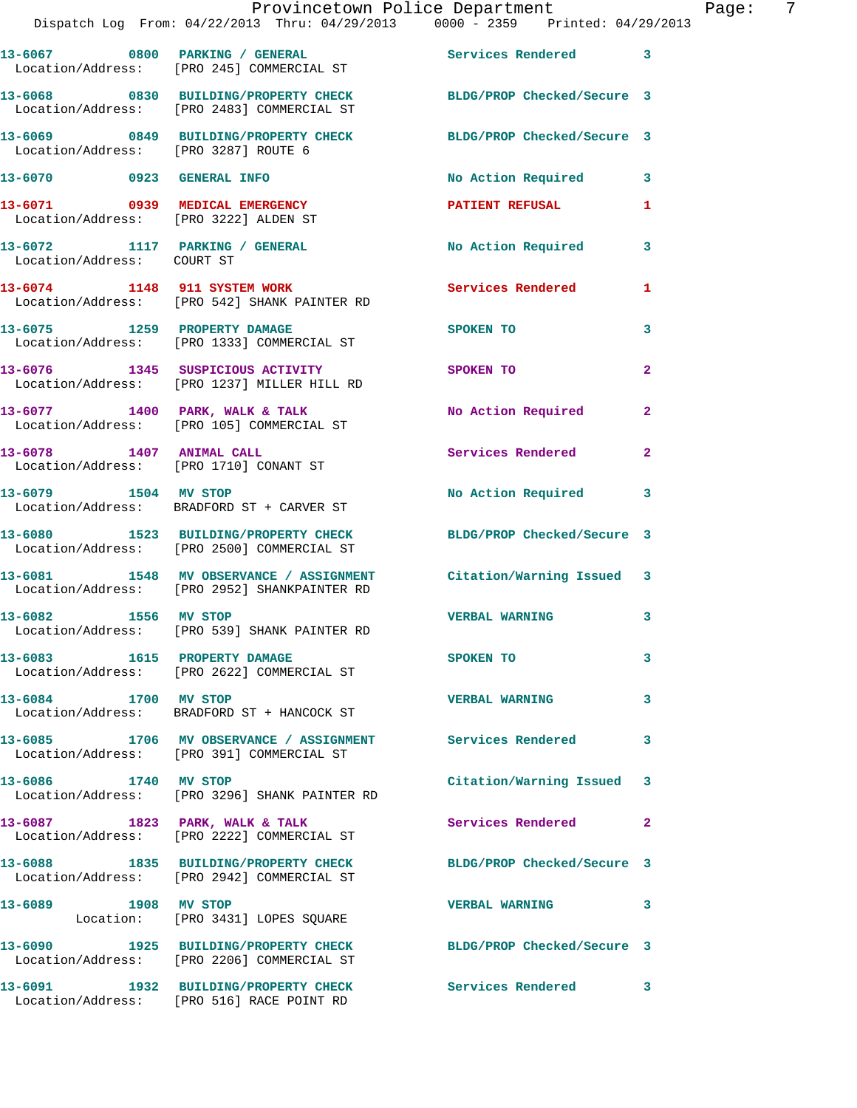|                                                                         | Provincetown Police Department<br>Dispatch Log From: 04/22/2013 Thru: 04/29/2013 0000 - 2359 Printed: 04/29/2013 |                            |                |
|-------------------------------------------------------------------------|------------------------------------------------------------------------------------------------------------------|----------------------------|----------------|
|                                                                         | 13-6067 0800 PARKING / GENERAL<br>Location/Address: [PRO 245] COMMERCIAL ST                                      | Services Rendered          | 3              |
|                                                                         | 13-6068 0830 BUILDING/PROPERTY CHECK BLDG/PROP Checked/Secure 3<br>Location/Address: [PRO 2483] COMMERCIAL ST    |                            |                |
| Location/Address: [PRO 3287] ROUTE 6                                    | 13-6069 0849 BUILDING/PROPERTY CHECK                                                                             | BLDG/PROP Checked/Secure 3 |                |
| 13-6070 0923 GENERAL INFO                                               |                                                                                                                  | No Action Required         | 3              |
| 13-6071 0939 MEDICAL EMERGENCY<br>Location/Address: [PRO 3222] ALDEN ST |                                                                                                                  | PATIENT REFUSAL            | 1              |
| Location/Address: COURT ST                                              | 13-6072 1117 PARKING / GENERAL                                                                                   | No Action Required         | 3              |
|                                                                         | 13-6074 1148 911 SYSTEM WORK<br>Location/Address: [PRO 542] SHANK PAINTER RD                                     | <b>Services Rendered</b>   | 1              |
| 13-6075 1259 PROPERTY DAMAGE                                            | Location/Address: [PRO 1333] COMMERCIAL ST                                                                       | SPOKEN TO                  | 3              |
|                                                                         | 13-6076 1345 SUSPICIOUS ACTIVITY<br>Location/Address: [PRO 1237] MILLER HILL RD                                  | SPOKEN TO                  | $\overline{2}$ |
|                                                                         | 13-6077 1400 PARK, WALK & TALK<br>Location/Address: [PRO 105] COMMERCIAL ST                                      | No Action Required         | $\mathbf{2}$   |
| 13-6078 1407 ANIMAL CALL                                                | Location/Address: [PRO 1710] CONANT ST                                                                           | Services Rendered          | $\overline{a}$ |
|                                                                         | 13-6079 1504 MV STOP<br>Location/Address: BRADFORD ST + CARVER ST                                                | No Action Required         | 3              |
|                                                                         | 13-6080 1523 BUILDING/PROPERTY CHECK BLDG/PROP Checked/Secure 3<br>Location/Address: [PRO 2500] COMMERCIAL ST    |                            |                |
|                                                                         | 13-6081 1548 MV OBSERVANCE / ASSIGNMENT Citation/Warning Issued<br>Location/Address: [PRO 2952] SHANKPAINTER RD  |                            | 3              |
| 1556 MV STOP<br>13-6082                                                 | Location/Address: [PRO 539] SHANK PAINTER RD                                                                     | <b>VERBAL WARNING</b>      | 3              |
| 13-6083 1615 PROPERTY DAMAGE                                            | Location/Address: [PRO 2622] COMMERCIAL ST                                                                       | SPOKEN TO                  | 3              |
| 13-6084 1700 MV STOP                                                    | Location/Address: BRADFORD ST + HANCOCK ST                                                                       | <b>VERBAL WARNING</b>      | 3              |
|                                                                         | 13-6085 1706 MV OBSERVANCE / ASSIGNMENT Services Rendered<br>Location/Address: [PRO 391] COMMERCIAL ST           |                            | 3              |
| 13-6086 1740 MV STOP                                                    | Location/Address: [PRO 3296] SHANK PAINTER RD                                                                    | Citation/Warning Issued    | 3              |
|                                                                         | 13-6087 1823 PARK, WALK & TALK<br>Location/Address: [PRO 2222] COMMERCIAL ST                                     | Services Rendered          | 2              |
|                                                                         | 13-6088 1835 BUILDING/PROPERTY CHECK<br>Location/Address: [PRO 2942] COMMERCIAL ST                               | BLDG/PROP Checked/Secure 3 |                |
| 13-6089 1908 MV STOP                                                    | Location: [PRO 3431] LOPES SQUARE                                                                                | <b>VERBAL WARNING</b>      | 3              |
|                                                                         | 13-6090 1925 BUILDING/PROPERTY CHECK<br>Location/Address: [PRO 2206] COMMERCIAL ST                               | BLDG/PROP Checked/Secure 3 |                |
|                                                                         | 13-6091 1932 BUILDING/PROPERTY CHECK<br>Location/Address: [PRO 516] RACE POINT RD                                | <b>Services Rendered</b>   | 3              |

Page: 7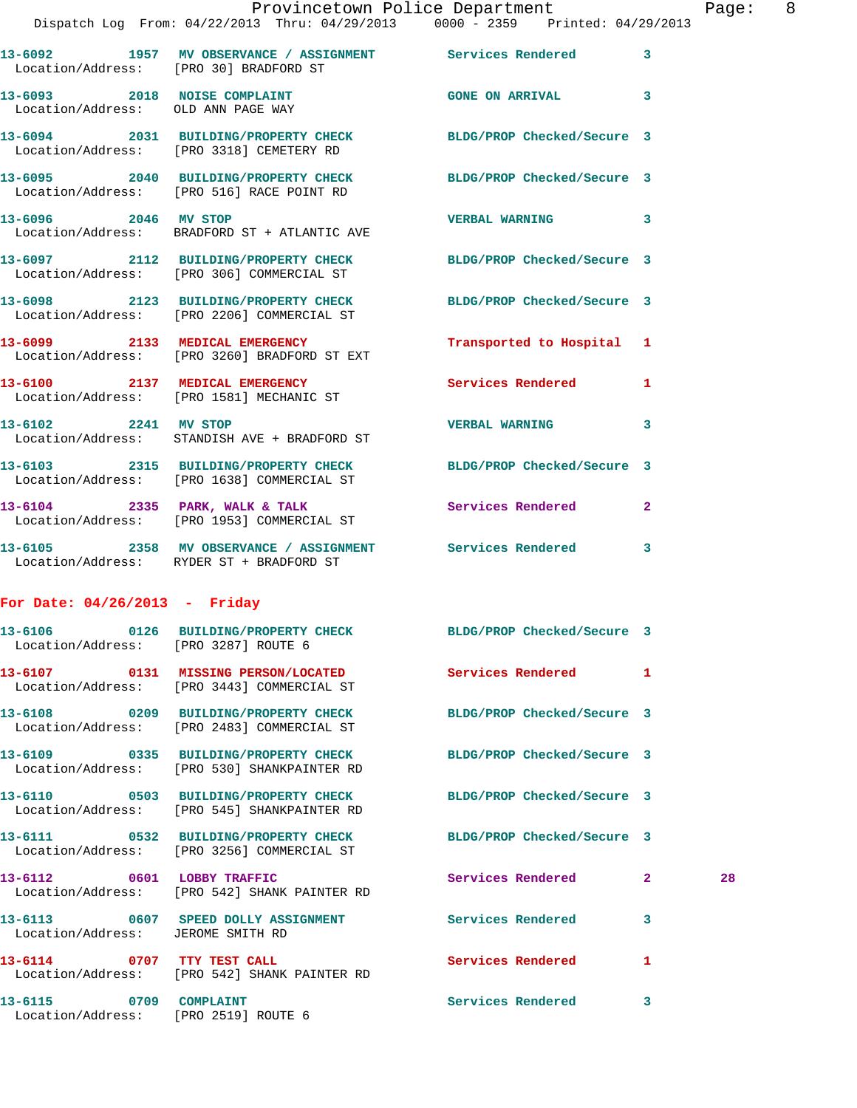|                                                                    | Provincetown Police Department                                                                                                                               |                            |                |
|--------------------------------------------------------------------|--------------------------------------------------------------------------------------------------------------------------------------------------------------|----------------------------|----------------|
|                                                                    | Dispatch Log From: 04/22/2013 Thru: 04/29/2013 0000 - 2359 Printed: 04/29/2013                                                                               |                            |                |
| Location/Address: [PRO 30] BRADFORD ST                             | 13-6092 1957 MV OBSERVANCE / ASSIGNMENT Services Rendered                                                                                                    |                            | 3              |
| 13-6093 2018 NOISE COMPLAINT<br>Location/Address: OLD ANN PAGE WAY |                                                                                                                                                              | <b>GONE ON ARRIVAL</b>     | 3              |
|                                                                    | 13-6094 2031 BUILDING/PROPERTY CHECK BLDG/PROP Checked/Secure 3<br>Location/Address: [PRO 3318] CEMETERY RD                                                  |                            |                |
|                                                                    | 13-6095 2040 BUILDING/PROPERTY CHECK<br>Location/Address: [PRO 516] RACE POINT RD                                                                            | BLDG/PROP Checked/Secure 3 |                |
| 13-6096 2046 MV STOP                                               | Location/Address: BRADFORD ST + ATLANTIC AVE                                                                                                                 | <b>VERBAL WARNING</b>      | 3              |
|                                                                    | 13-6097 2112 BUILDING/PROPERTY CHECK<br>Location/Address: [PRO 306] COMMERCIAL ST                                                                            | BLDG/PROP Checked/Secure 3 |                |
|                                                                    | 13-6098 2123 BUILDING/PROPERTY CHECK<br>Location/Address: [PRO 2206] COMMERCIAL ST                                                                           | BLDG/PROP Checked/Secure 3 |                |
|                                                                    | 13-6099 2133 MEDICAL EMERGENCY<br>Location/Address: [PRO 3260] BRADFORD ST EXT                                                                               | Transported to Hospital 1  |                |
|                                                                    | 13-6100 2137 MEDICAL EMERGENCY<br>Location/Address: [PRO 1581] MECHANIC ST                                                                                   | <b>Services Rendered</b>   | 1              |
| 13-6102 2241 MV STOP                                               | Location/Address: STANDISH AVE + BRADFORD ST                                                                                                                 | <b>VERBAL WARNING</b>      | 3              |
|                                                                    | 13-6103 2315 BUILDING/PROPERTY CHECK<br>Location/Address: [PRO 1638] COMMERCIAL ST                                                                           | BLDG/PROP Checked/Secure 3 |                |
|                                                                    | 13-6104 2335 PARK, WALK & TALK<br>Location/Address: [PRO 1953] COMMERCIAL ST                                                                                 | <b>Services Rendered</b>   | $\overline{2}$ |
| 13-6105                                                            | 2358 MV OBSERVANCE / ASSIGNMENT Services Rendered<br>$\tau$ , $\ldots$ $\vdots$ $\ldots$ $\vdots$ $\vdots$ $\ldots$ $\ldots$ . Different are . Dependent are |                            | 3              |

## **For Date: 04/26/2013 - Friday**

Location/Address: RYDER ST + BRADFORD ST

|                                      | 13-6106 				0126 BUILDING/PROPERTY CHECK 						BLDG/PROP Checked/Secure 3<br>Location/Address: [PRO 3287] ROUTE 6 |                          |                |    |
|--------------------------------------|-------------------------------------------------------------------------------------------------------------------|--------------------------|----------------|----|
|                                      | Location/Address: [PRO 3443] COMMERCIAL ST                                                                        |                          | $\mathbf{1}$   |    |
|                                      | 13-6108 0209 BUILDING/PROPERTY CHECK BLDG/PROP Checked/Secure 3<br>Location/Address: [PRO 2483] COMMERCIAL ST     |                          |                |    |
|                                      | 13-6109 0335 BUILDING/PROPERTY CHECK BLDG/PROP Checked/Secure 3<br>Location/Address: [PRO 530] SHANKPAINTER RD    |                          |                |    |
|                                      | 13-6110 0503 BUILDING/PROPERTY CHECK BLDG/PROP Checked/Secure 3<br>Location/Address: [PRO 545] SHANKPAINTER RD    |                          |                |    |
|                                      | 13-6111 0532 BUILDING/PROPERTY CHECK BLDG/PROP Checked/Secure 3<br>Location/Address: [PRO 3256] COMMERCIAL ST     |                          |                |    |
|                                      | 13-6112 0601 LOBBY TRAFFIC<br>Location/Address: [PRO 542] SHANK PAINTER RD                                        | Services Rendered        | 2 <sup>1</sup> | 28 |
| Location/Address: JEROME SMITH RD    | 13-6113 0607 SPEED DOLLY ASSIGNMENT Services Rendered                                                             |                          | 3              |    |
|                                      | 13-6114 0707 TTY TEST CALL <b>12-12 Services Rendered</b><br>Location/Address: [PRO 542] SHANK PAINTER RD         |                          | $\mathbf{1}$   |    |
| Location/Address: [PRO 2519] ROUTE 6 | 13-6115 0709 COMPLAINT                                                                                            | <b>Services Rendered</b> | 3              |    |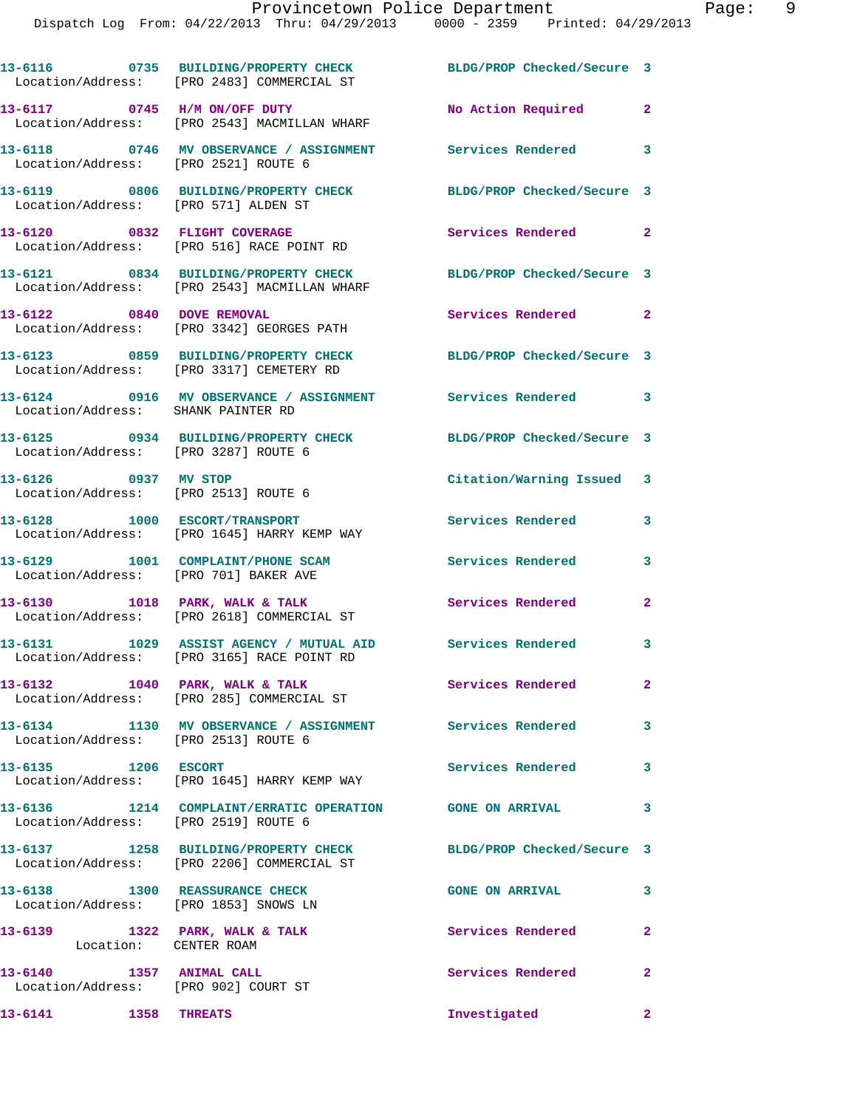|                                                                         | 13-6116 0735 BUILDING/PROPERTY CHECK<br>Location/Address: [PRO 2483] COMMERCIAL ST    | BLDG/PROP Checked/Secure 3 |                            |
|-------------------------------------------------------------------------|---------------------------------------------------------------------------------------|----------------------------|----------------------------|
|                                                                         | 13-6117 0745 H/M ON/OFF DUTY<br>Location/Address: [PRO 2543] MACMILLAN WHARF          | No Action Required         | $\mathbf{2}$               |
| Location/Address: [PRO 2521] ROUTE 6                                    | 13-6118 0746 MV OBSERVANCE / ASSIGNMENT                                               | Services Rendered          | 3                          |
| Location/Address: [PRO 571] ALDEN ST                                    | 13-6119 0806 BUILDING/PROPERTY CHECK                                                  | BLDG/PROP Checked/Secure 3 |                            |
|                                                                         | 13-6120 0832 FLIGHT COVERAGE<br>Location/Address: [PRO 516] RACE POINT RD             | Services Rendered 2        |                            |
|                                                                         | 13-6121 0834 BUILDING/PROPERTY CHECK<br>Location/Address: [PRO 2543] MACMILLAN WHARF  | BLDG/PROP Checked/Secure 3 |                            |
| 13-6122 0840 DOVE REMOVAL                                               | Location/Address: [PRO 3342] GEORGES PATH                                             | Services Rendered          | $\overline{\phantom{0}}$ 2 |
|                                                                         | 13-6123 0859 BUILDING/PROPERTY CHECK<br>Location/Address: [PRO 3317] CEMETERY RD      | BLDG/PROP Checked/Secure 3 |                            |
| Location/Address: SHANK PAINTER RD                                      | 13-6124 0916 MV OBSERVANCE / ASSIGNMENT Services Rendered 3                           |                            |                            |
| Location/Address: [PRO 3287] ROUTE 6                                    | 13-6125 0934 BUILDING/PROPERTY CHECK BLDG/PROP Checked/Secure 3                       |                            |                            |
| 13-6126 0937 MV STOP<br>Location/Address: [PRO 2513] ROUTE 6            |                                                                                       | Citation/Warning Issued 3  |                            |
|                                                                         | 13-6128 1000 ESCORT/TRANSPORT<br>Location/Address: [PRO 1645] HARRY KEMP WAY          | Services Rendered          | 3                          |
| Location/Address: [PRO 701] BAKER AVE                                   | 13-6129 1001 COMPLAINT/PHONE SCAM                                                     | Services Rendered          | 3                          |
|                                                                         | 13-6130 1018 PARK, WALK & TALK<br>Location/Address: [PRO 2618] COMMERCIAL ST          | <b>Services Rendered</b>   | $\mathbf{2}$               |
|                                                                         | 13-6131 1029 ASSIST AGENCY / MUTUAL AID<br>Location/Address: [PRO 3165] RACE POINT RD | Services Rendered          | $\overline{\phantom{a}}$ 3 |
|                                                                         | 13-6132 1040 PARK, WALK & TALK<br>Location/Address: [PRO 285] COMMERCIAL ST           | Services Rendered          | $\mathbf{2}$               |
| Location/Address: [PRO 2513] ROUTE 6                                    | 13-6134 1130 MV OBSERVANCE / ASSIGNMENT Services Rendered                             |                            | $\overline{\phantom{a}}$ 3 |
| 13-6135 1206 ESCORT                                                     | Location/Address: [PRO 1645] HARRY KEMP WAY                                           | <b>Services Rendered</b>   | 3                          |
| Location/Address: [PRO 2519] ROUTE 6                                    | 13-6136 1214 COMPLAINT/ERRATIC OPERATION GONE ON ARRIVAL                              |                            | $\overline{\mathbf{3}}$    |
|                                                                         | 13-6137 1258 BUILDING/PROPERTY CHECK<br>Location/Address: [PRO 2206] COMMERCIAL ST    | BLDG/PROP Checked/Secure 3 |                            |
| 13-6138 1300 REASSURANCE CHECK<br>Location/Address: [PRO 1853] SNOWS LN |                                                                                       | <b>GONE ON ARRIVAL</b>     | $\sim$ 3                   |
| 13-6139 1322 PARK, WALK & TALK<br>Location: CENTER ROAM                 |                                                                                       | Services Rendered          | $\mathbf{2}$               |
| 13-6140 1357 ANIMAL CALL<br>Location/Address: [PRO 902] COURT ST        |                                                                                       | Services Rendered 2        |                            |
| 13-6141 1358 THREATS                                                    |                                                                                       | Investigated               | $\mathbf{2}$               |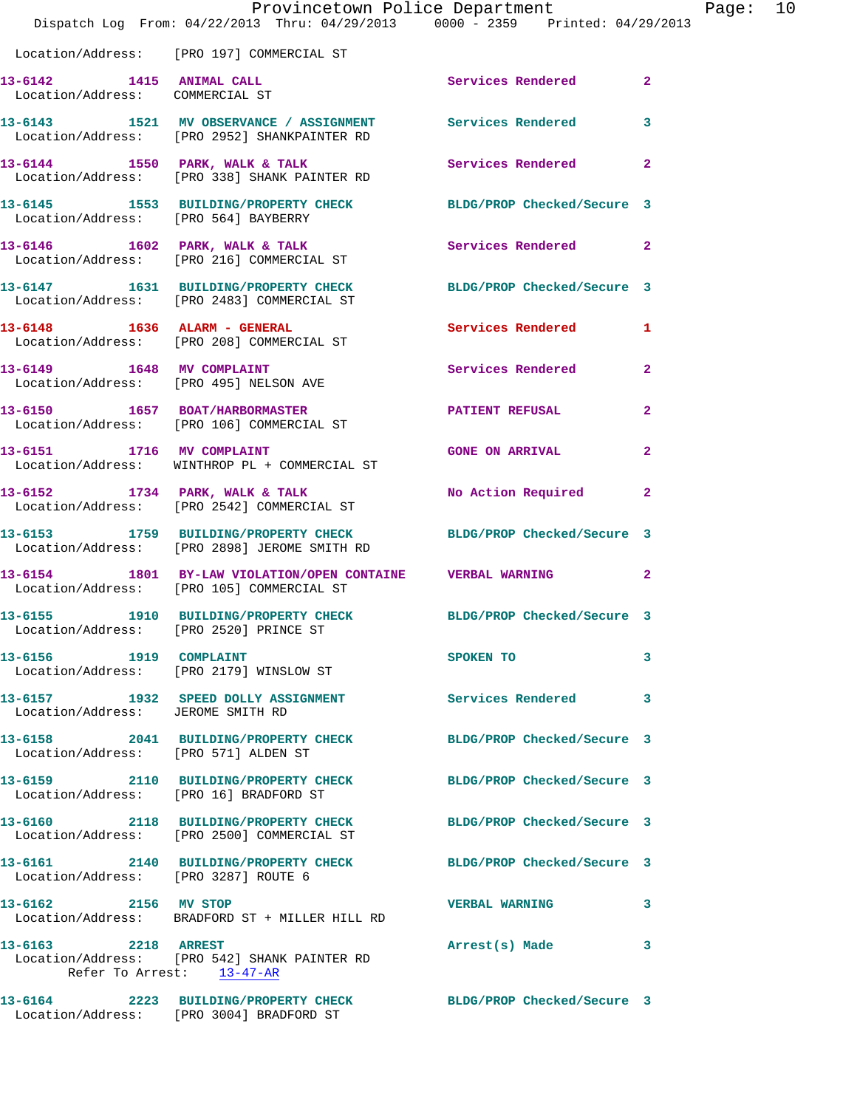|                                                             | Provincetown Police Department<br>Dispatch Log From: 04/22/2013 Thru: 04/29/2013 0000 - 2359 Printed: 04/29/2013 |                            | Page: 10       |
|-------------------------------------------------------------|------------------------------------------------------------------------------------------------------------------|----------------------------|----------------|
|                                                             | Location/Address: [PRO 197] COMMERCIAL ST                                                                        |                            |                |
| 13-6142 1415 ANIMAL CALL<br>Location/Address: COMMERCIAL ST |                                                                                                                  | Services Rendered 2        |                |
|                                                             | 13-6143 1521 MV OBSERVANCE / ASSIGNMENT Services Rendered 3<br>Location/Address: [PRO 2952] SHANKPAINTER RD      |                            |                |
|                                                             |                                                                                                                  | Services Rendered          | $\mathbf{2}$   |
| Location/Address: [PRO 564] BAYBERRY                        | 13-6145 1553 BUILDING/PROPERTY CHECK BLDG/PROP Checked/Secure 3                                                  |                            |                |
|                                                             | 13-6146 1602 PARK, WALK & TALK<br>Location/Address: [PRO 216] COMMERCIAL ST                                      | Services Rendered 2        |                |
|                                                             | 13-6147 1631 BUILDING/PROPERTY CHECK<br>Location/Address: [PRO 2483] COMMERCIAL ST                               | BLDG/PROP Checked/Secure 3 |                |
|                                                             | Location/Address: [PRO 208] COMMERCIAL ST                                                                        | Services Rendered 1        |                |
|                                                             | 13-6149 1648 MV COMPLAINT<br>Location/Address: [PRO 495] NELSON AVE                                              | Services Rendered          | $\overline{2}$ |
|                                                             | 13-6150 1657 BOAT/HARBORMASTER PATIENT REFUSAL<br>Location/Address: [PRO 106] COMMERCIAL ST                      |                            | $\mathbf{2}$   |
|                                                             | 13-6151 1716 MV COMPLAINT<br>Location/Address: WINTHROP PL + COMMERCIAL ST                                       | <b>GONE ON ARRIVAL</b>     | $\mathbf{2}$   |
|                                                             | 13-6152 1734 PARK, WALK & TALK<br>Location/Address: [PRO 2542] COMMERCIAL ST                                     | No Action Required 2       |                |
|                                                             | 13-6153 1759 BUILDING/PROPERTY CHECK<br>Location/Address: [PRO 2898] JEROME SMITH RD                             | BLDG/PROP Checked/Secure 3 |                |
|                                                             | 13-6154 1801 BY-LAW VIOLATION/OPEN CONTAINE VERBAL WARNING<br>Location/Address: [PRO 105] COMMERCIAL ST          |                            | $\mathbf{2}$   |
| Location/Address: [PRO 2520] PRINCE ST                      | 13-6155 1910 BUILDING/PROPERTY CHECK                                                                             | BLDG/PROP Checked/Secure 3 |                |
|                                                             |                                                                                                                  | SPOKEN TO                  | 3              |
| Location/Address: JEROME SMITH RD                           | 13-6157 1932 SPEED DOLLY ASSIGNMENT                                                                              | Services Rendered          | 3              |
| Location/Address: [PRO 571] ALDEN ST                        | 13-6158 2041 BUILDING/PROPERTY CHECK BLDG/PROP Checked/Secure 3                                                  |                            |                |
|                                                             | 13-6159 2110 BUILDING/PROPERTY CHECK BLDG/PROP Checked/Secure 3<br>Location/Address: [PRO 16] BRADFORD ST        |                            |                |
|                                                             | 13-6160 2118 BUILDING/PROPERTY CHECK BLDG/PROP Checked/Secure 3<br>Location/Address: [PRO 2500] COMMERCIAL ST    |                            |                |
| Location/Address: [PRO 3287] ROUTE 6                        | 13-6161 2140 BUILDING/PROPERTY CHECK BLDG/PROP Checked/Secure 3                                                  |                            |                |
| 13-6162 2156 MV STOP                                        | Location/Address: BRADFORD ST + MILLER HILL RD                                                                   | <b>VERBAL WARNING</b>      | 3              |
| 13-6163 2218 ARREST                                         | Location/Address: [PRO 542] SHANK PAINTER RD<br>Refer To Arrest: 13-47-AR                                        | Arrest(s) Made             | 3              |
|                                                             | 13-6164 2223 BUILDING/PROPERTY CHECK BLDG/PROP Checked/Secure 3                                                  |                            |                |

Location/Address: [PRO 3004] BRADFORD ST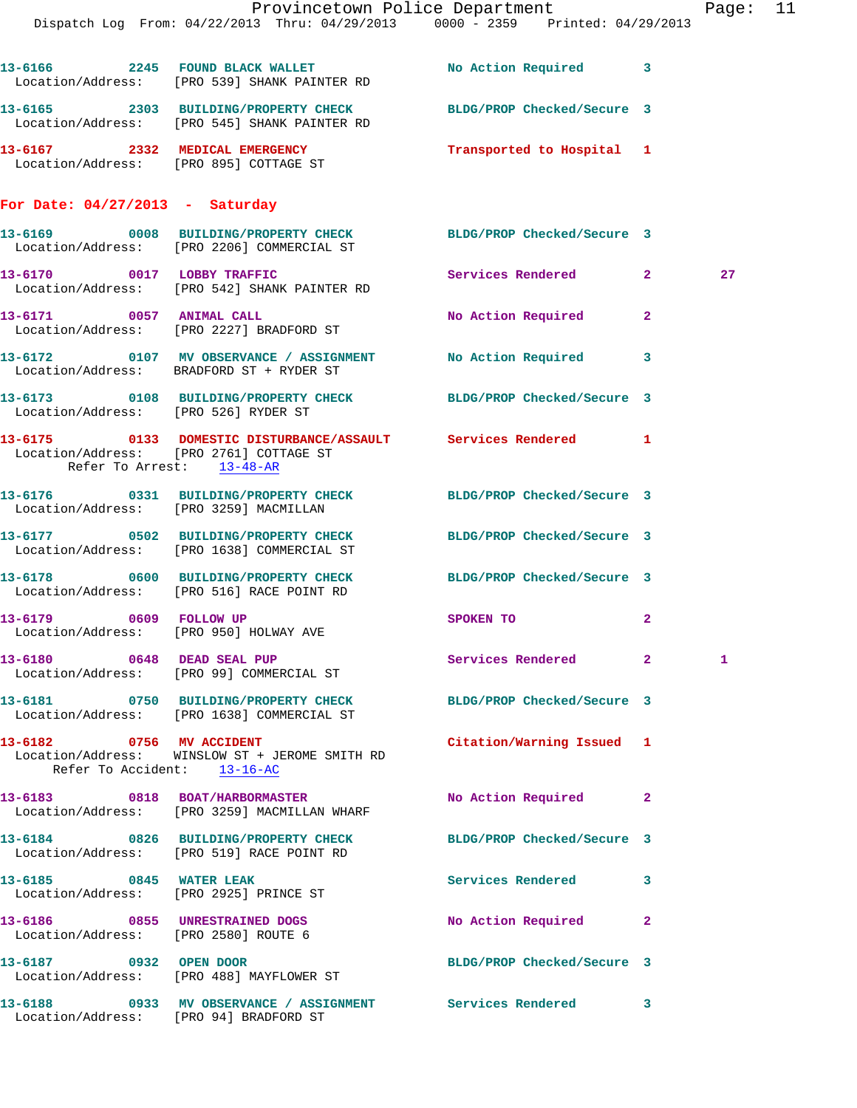|                                                                  | Dispatch Log From: 04/22/2013 Thru: 04/29/2013 0000 - 2359 Printed: 04/29/2013                                   | Provincetown Police Department |              | Page: 11 |  |
|------------------------------------------------------------------|------------------------------------------------------------------------------------------------------------------|--------------------------------|--------------|----------|--|
|                                                                  | 13-6166 2245 FOUND BLACK WALLET<br>Location/Address: [PRO 539] SHANK PAINTER RD                                  | No Action Required 3           |              |          |  |
|                                                                  | 13-6165 2303 BUILDING/PROPERTY CHECK BLDG/PROP Checked/Secure 3<br>Location/Address: [PRO 545] SHANK PAINTER RD  |                                |              |          |  |
|                                                                  | 13-6167 2332 MEDICAL EMERGENCY<br>Location/Address: [PRO 895] COTTAGE ST                                         | Transported to Hospital 1      |              |          |  |
| For Date: $04/27/2013$ - Saturday                                |                                                                                                                  |                                |              |          |  |
|                                                                  | 13-6169 0008 BUILDING/PROPERTY CHECK BLDG/PROP Checked/Secure 3<br>Location/Address: [PRO 2206] COMMERCIAL ST    |                                |              |          |  |
|                                                                  | 13-6170 0017 LOBBY TRAFFIC<br>Location/Address: [PRO 542] SHANK PAINTER RD                                       | Services Rendered 2            |              | 27       |  |
|                                                                  | 13-6171 0057 ANIMAL CALL<br>Location/Address: [PRO 2227] BRADFORD ST                                             | No Action Required 2           |              |          |  |
|                                                                  | 13-6172 0107 MV OBSERVANCE / ASSIGNMENT No Action Required 3<br>Location/Address: BRADFORD ST + RYDER ST         |                                |              |          |  |
| Location/Address: [PRO 526] RYDER ST                             | 13-6173 0108 BUILDING/PROPERTY CHECK BLDG/PROP Checked/Secure 3                                                  |                                |              |          |  |
| Refer To Arrest: 13-48-AR                                        | 13-6175   0133   DOMESTIC DISTURBANCE/ASSAULT   Services Rendered   1<br>Location/Address: [PRO 2761] COTTAGE ST |                                |              |          |  |
| Location/Address: [PRO 3259] MACMILLAN                           | 13-6176 0331 BUILDING/PROPERTY CHECK BLDG/PROP Checked/Secure 3                                                  |                                |              |          |  |
|                                                                  | 13-6177 0502 BUILDING/PROPERTY CHECK BLDG/PROP Checked/Secure 3<br>Location/Address: [PRO 1638] COMMERCIAL ST    |                                |              |          |  |
|                                                                  | 13-6178 0600 BUILDING/PROPERTY CHECK BLDG/PROP Checked/Secure 3<br>Location/Address: [PRO 516] RACE POINT RD     |                                |              |          |  |
| 13-6179 0609 FOLLOW UP<br>Location/Address: [PRO 950] HOLWAY AVE |                                                                                                                  | SPOKEN TO                      | $\mathbf{2}$ |          |  |
|                                                                  | 13-6180 0648 DEAD SEAL PUP<br>Location/Address: [PRO 99] COMMERCIAL ST                                           | Services Rendered 2            |              | 1        |  |
|                                                                  | 13-6181 0750 BUILDING/PROPERTY CHECK BLDG/PROP Checked/Secure 3<br>Location/Address: [PRO 1638] COMMERCIAL ST    |                                |              |          |  |
| 13-6182 0756 MV ACCIDENT<br>Refer To Accident: 13-16-AC          | Location/Address: WINSLOW ST + JEROME SMITH RD                                                                   | Citation/Warning Issued 1      |              |          |  |
|                                                                  | 13-6183 0818 BOAT/HARBORMASTER<br>Location/Address: [PRO 3259] MACMILLAN WHARF                                   | No Action Required             | $\mathbf{2}$ |          |  |
|                                                                  | 13-6184 0826 BUILDING/PROPERTY CHECK<br>Location/Address: [PRO 519] RACE POINT RD                                | BLDG/PROP Checked/Secure 3     |              |          |  |
| 13-6185 0845 WATER LEAK                                          | Location/Address: [PRO 2925] PRINCE ST                                                                           | Services Rendered 3            |              |          |  |
| Location/Address: [PRO 2580] ROUTE 6                             | 13-6186 0855 UNRESTRAINED DOGS                                                                                   | No Action Required 2           |              |          |  |
| 13-6187 0932 OPEN DOOR                                           | Location/Address: [PRO 488] MAYFLOWER ST                                                                         | BLDG/PROP Checked/Secure 3     |              |          |  |
|                                                                  |                                                                                                                  |                                |              |          |  |

Location/Address: [PRO 94] BRADFORD ST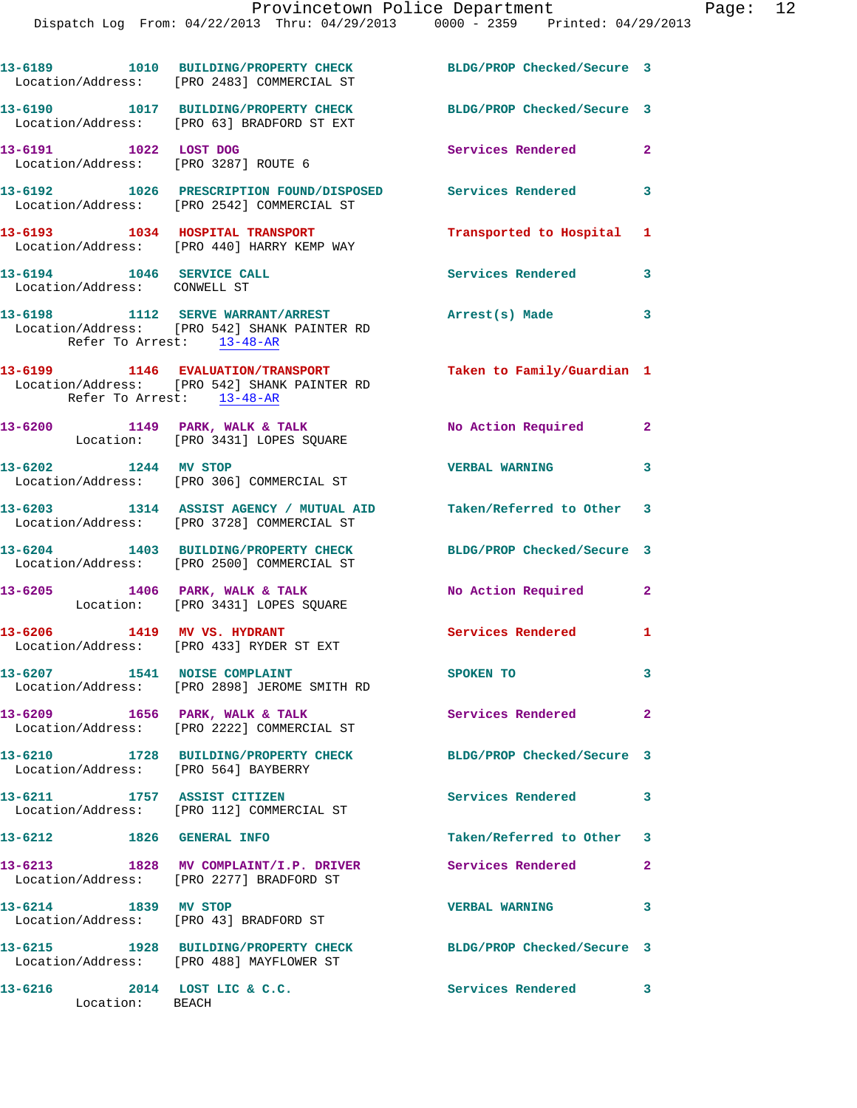Dispatch Log From: 04/22/2013 Thru: 04/29/2013 0000 - 2359 Printed: 04/29/2013

|                                                           | 13-6189 1010 BUILDING/PROPERTY CHECK<br>Location/Address: [PRO 2483] COMMERCIAL ST                              | BLDG/PROP Checked/Secure 3 |                |
|-----------------------------------------------------------|-----------------------------------------------------------------------------------------------------------------|----------------------------|----------------|
|                                                           | 13-6190 1017 BUILDING/PROPERTY CHECK<br>Location/Address: [PRO 63] BRADFORD ST EXT                              | BLDG/PROP Checked/Secure 3 |                |
| 13-6191 1022 LOST DOG                                     | Location/Address: [PRO 3287] ROUTE 6                                                                            | Services Rendered          | $\overline{2}$ |
|                                                           | 13-6192 1026 PRESCRIPTION FOUND/DISPOSED Services Rendered 3<br>Location/Address: [PRO 2542] COMMERCIAL ST      |                            |                |
|                                                           | 13-6193 1034 HOSPITAL TRANSPORT<br>Location/Address: [PRO 440] HARRY KEMP WAY                                   | Transported to Hospital 1  |                |
| 13-6194 1046 SERVICE CALL<br>Location/Address: CONWELL ST |                                                                                                                 | Services Rendered 3        |                |
| Refer To Arrest: 13-48-AR                                 | 13-6198 1112 SERVE WARRANT/ARREST<br>Location/Address: [PRO 542] SHANK PAINTER RD                               | Arrest(s) Made 3           |                |
| Refer To Arrest: 13-48-AR                                 | 13-6199 1146 EVALUATION/TRANSPORT<br>Location/Address: [PRO 542] SHANK PAINTER RD                               | Taken to Family/Guardian 1 |                |
|                                                           | 13-6200 1149 PARK, WALK & TALK<br>Location: [PRO 3431] LOPES SQUARE                                             | No Action Required         | $\mathbf{2}$   |
|                                                           | 13-6202 1244 MV STOP<br>Location/Address: [PRO 306] COMMERCIAL ST                                               | <b>VERBAL WARNING</b>      | 3              |
|                                                           | 13-6203 1314 ASSIST AGENCY / MUTUAL AID Taken/Referred to Other 3<br>Location/Address: [PRO 3728] COMMERCIAL ST |                            |                |
|                                                           | 13-6204 1403 BUILDING/PROPERTY CHECK BLDG/PROP Checked/Secure 3<br>Location/Address: [PRO 2500] COMMERCIAL ST   |                            |                |
|                                                           | 13-6205 1406 PARK, WALK & TALK<br>Location: [PRO 3431] LOPES SQUARE                                             | No Action Required 2       |                |
|                                                           | 13-6206 1419 MV VS. HYDRANT<br>Location/Address: [PRO 433] RYDER ST EXT                                         | Services Rendered 1        |                |
|                                                           | 13-6207 1541 NOISE COMPLAINT<br>Location/Address: [PRO 2898] JEROME SMITH RD                                    | SPOKEN TO                  | 3.             |
| 13-6209 1656 PARK, WALK & TALK                            | Location/Address: [PRO 2222] COMMERCIAL ST                                                                      | Services Rendered 2        |                |
| Location/Address: [PRO 564] BAYBERRY                      | 13-6210 1728 BUILDING/PROPERTY CHECK                                                                            | BLDG/PROP Checked/Secure 3 |                |
| 13-6211 1757 ASSIST CITIZEN                               | Location/Address: [PRO 112] COMMERCIAL ST                                                                       | Services Rendered          | 3              |
| 13-6212                                                   | 1826 GENERAL INFO                                                                                               | Taken/Referred to Other 3  |                |
|                                                           | 13-6213 1828 MV COMPLAINT/I.P. DRIVER<br>Location/Address: [PRO 2277] BRADFORD ST                               | Services Rendered          | $\overline{2}$ |
| 13-6214 1839 MV STOP                                      | Location/Address: [PRO 43] BRADFORD ST                                                                          | <b>VERBAL WARNING</b>      | 3              |
|                                                           | 13-6215 1928 BUILDING/PROPERTY CHECK<br>Location/Address: [PRO 488] MAYFLOWER ST                                | BLDG/PROP Checked/Secure 3 |                |
| 13-6216<br>Location: BEACH                                | 2014 LOST LIC & C.C.                                                                                            | Services Rendered 3        |                |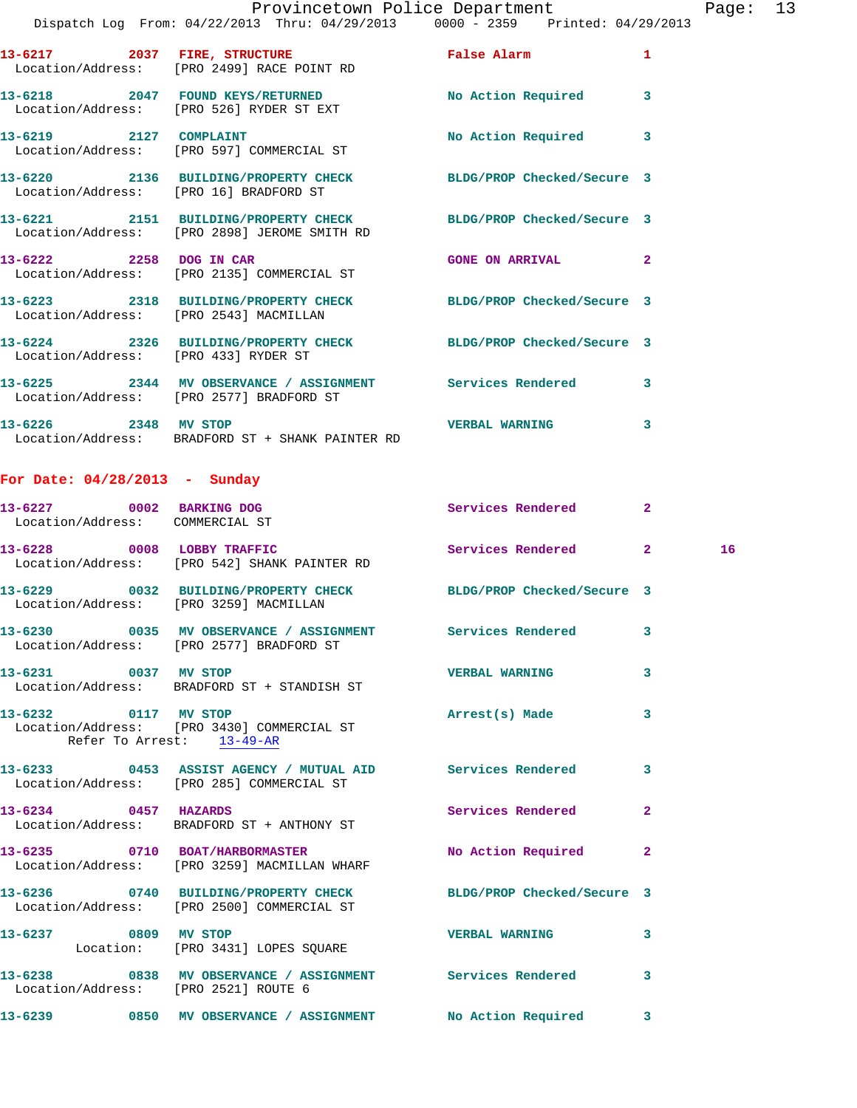|                                                             | Provincetown Police Department<br>Dispatch Log From: 04/22/2013 Thru: 04/29/2013 0000 - 2359 Printed: 04/29/2013 |                            | Page           |  |
|-------------------------------------------------------------|------------------------------------------------------------------------------------------------------------------|----------------------------|----------------|--|
|                                                             | 13-6217 2037 FIRE, STRUCTURE False Alarm<br>Location/Address: [PRO 2499] RACE POINT RD                           |                            | 1              |  |
|                                                             | 13-6218 2047 FOUND KEYS/RETURNED<br>Location/Address: [PRO 526] RYDER ST EXT                                     | No Action Required 3       |                |  |
|                                                             | 13-6219 2127 COMPLAINT<br>Location/Address: [PRO 597] COMMERCIAL ST                                              | No Action Required 3       |                |  |
|                                                             | 13-6220 2136 BUILDING/PROPERTY CHECK BLDG/PROP Checked/Secure 3<br>Location/Address: [PRO 16] BRADFORD ST        |                            |                |  |
|                                                             | 13-6221 2151 BUILDING/PROPERTY CHECK BLDG/PROP Checked/Secure 3<br>Location/Address: [PRO 2898] JEROME SMITH RD  |                            |                |  |
| 13-6222 2258 DOG IN CAR                                     | Location/Address: [PRO 2135] COMMERCIAL ST                                                                       | GONE ON ARRIVAL 2          |                |  |
|                                                             | 13-6223 2318 BUILDING/PROPERTY CHECK BLDG/PROP Checked/Secure 3<br>Location/Address: [PRO 2543] MACMILLAN        |                            |                |  |
| Location/Address: [PRO 433] RYDER ST                        | 13-6224 2326 BUILDING/PROPERTY CHECK BLDG/PROP Checked/Secure 3                                                  |                            |                |  |
|                                                             | 13-6225 2344 MV OBSERVANCE / ASSIGNMENT Services Rendered 3<br>Location/Address: [PRO 2577] BRADFORD ST          |                            |                |  |
| 13-6226 2348 MV STOP                                        | Location/Address: BRADFORD ST + SHANK PAINTER RD                                                                 | <b>VERBAL WARNING</b>      | 3              |  |
| For Date: $04/28/2013$ - Sunday                             |                                                                                                                  |                            |                |  |
| 13-6227 0002 BARKING DOG<br>Location/Address: COMMERCIAL ST |                                                                                                                  | Services Rendered          | $\mathbf{2}$   |  |
|                                                             | 13-6228 0008 LOBBY TRAFFIC<br>Location/Address: [PRO 542] SHANK PAINTER RD                                       | Services Rendered 2        | 16             |  |
| Location/Address: [PRO 3259] MACMILLAN                      | 13-6229 0032 BUILDING/PROPERTY CHECK BLDG/PROP Checked/Secure 3                                                  |                            |                |  |
|                                                             | 13-6230 0035 MV OBSERVANCE / ASSIGNMENT<br>Location/Address: [PRO 2577] BRADFORD ST                              | <b>Services Rendered</b>   | 3              |  |
| 13-6231 0037 MV STOP                                        | Location/Address: BRADFORD ST + STANDISH ST                                                                      | <b>VERBAL WARNING</b>      | 3              |  |
| 13-6232 0117 MV STOP<br>Refer To Arrest: 13-49-AR           | Location/Address: [PRO 3430] COMMERCIAL ST                                                                       | Arrest(s) Made             | 3              |  |
|                                                             | 13-6233 6453 ASSIST AGENCY / MUTUAL AID Services Rendered<br>Location/Address: [PRO 285] COMMERCIAL ST           |                            | 3              |  |
| 13-6234 0457 HAZARDS                                        | Location/Address: BRADFORD ST + ANTHONY ST                                                                       | Services Rendered          | $\overline{2}$ |  |
|                                                             | 13-6235 0710 BOAT/HARBORMASTER<br>Location/Address: [PRO 3259] MACMILLAN WHARF                                   | No Action Required         | $\mathbf{2}$   |  |
|                                                             | 13-6236 0740 BUILDING/PROPERTY CHECK                                                                             | BLDG/PROP Checked/Secure 3 |                |  |
| 13-6237 0809 MV STOP                                        | Location/Address: [PRO 2500] COMMERCIAL ST                                                                       | <b>VERBAL WARNING</b>      | 3              |  |
|                                                             | Location: [PRO 3431] LOPES SQUARE                                                                                |                            |                |  |

**13-6238 0838 MV OBSERVANCE / ASSIGNMENT Services Rendered 3**  Location/Address: [PRO 2521] ROUTE 6

**13-6239 0850 MV OBSERVANCE / ASSIGNMENT No Action Required 3** 

Page: 13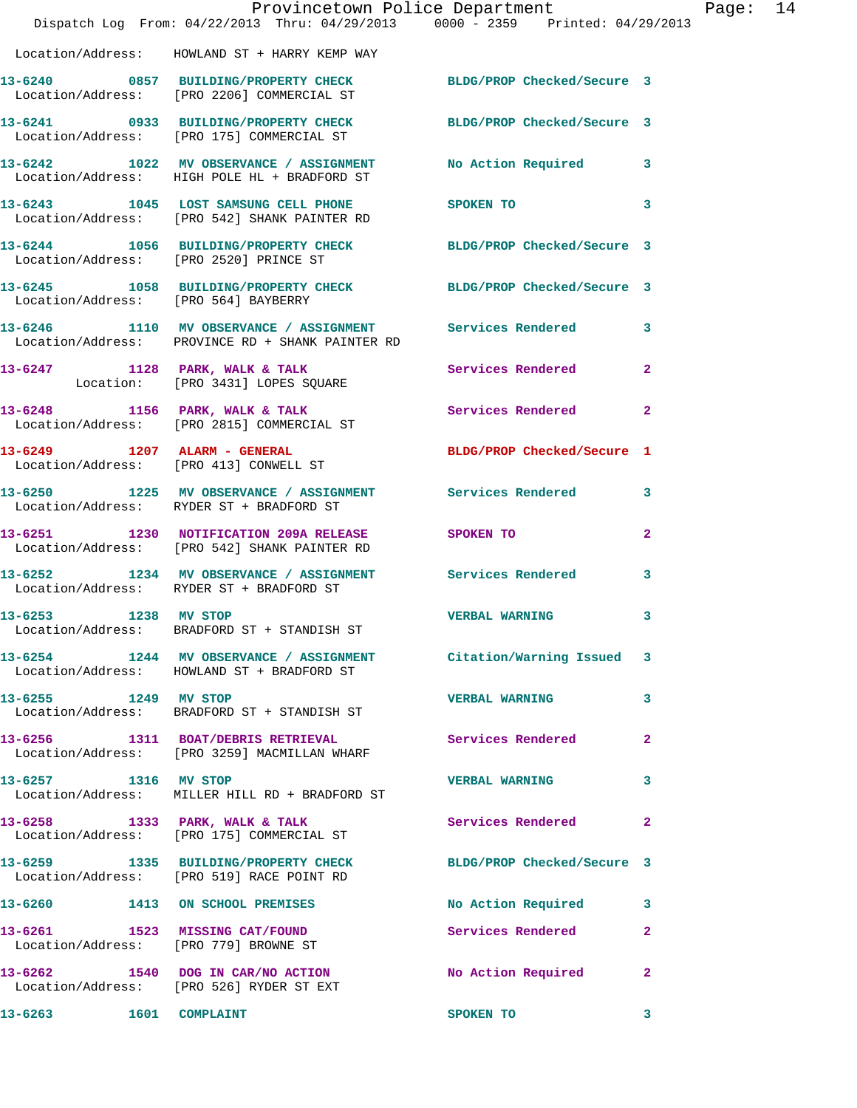|                      | Dispatch Log From: 04/22/2013 Thru: 04/29/2013 0000 - 2359 Printed: 04/29/2013                                  | Provincetown Police Department          | Page: 14       |
|----------------------|-----------------------------------------------------------------------------------------------------------------|-----------------------------------------|----------------|
|                      |                                                                                                                 |                                         |                |
|                      | Location/Address: HOWLAND ST + HARRY KEMP WAY                                                                   |                                         |                |
|                      | 13-6240 0857 BUILDING/PROPERTY CHECK BLDG/PROP Checked/Secure 3<br>Location/Address: [PRO 2206] COMMERCIAL ST   |                                         |                |
|                      | 13-6241 0933 BUILDING/PROPERTY CHECK BLDG/PROP Checked/Secure 3<br>Location/Address: [PRO 175] COMMERCIAL ST    |                                         |                |
|                      | 13-6242 1022 MV OBSERVANCE / ASSIGNMENT<br>Location/Address: HIGH POLE HL + BRADFORD ST                         | No Action Required 3                    |                |
|                      | 13-6243 1045 LOST SAMSUNG CELL PHONE SPOKEN TO<br>Location/Address: [PRO 542] SHANK PAINTER RD                  |                                         | 3              |
|                      | 13-6244 1056 BUILDING/PROPERTY CHECK BLDG/PROP Checked/Secure 3<br>Location/Address: [PRO 2520] PRINCE ST       |                                         |                |
|                      | 13-6245 1058 BUILDING/PROPERTY CHECK BLDG/PROP Checked/Secure 3<br>Location/Address: [PRO 564] BAYBERRY         |                                         |                |
|                      | 13-6246 1110 MV OBSERVANCE / ASSIGNMENT Services Rendered 3<br>Location/Address: PROVINCE RD + SHANK PAINTER RD |                                         |                |
|                      | 13-6247 1128 PARK, WALK & TALK<br>Location: [PRO 3431] LOPES SQUARE                                             | Services Rendered                       | $\mathbf{2}$   |
|                      | 13-6248 1156 PARK, WALK & TALK<br>Location/Address: [PRO 2815] COMMERCIAL ST                                    | Services Rendered<br>$\overline{2}$     |                |
|                      | 13-6249 1207 ALARM - GENERAL<br>Location/Address: [PRO 413] CONWELL ST                                          | BLDG/PROP Checked/Secure 1              |                |
|                      | 13-6250 1225 MV OBSERVANCE / ASSIGNMENT Services Rendered 3<br>Location/Address: RYDER ST + BRADFORD ST         |                                         |                |
|                      | 13-6251 1230 NOTIFICATION 209A RELEASE SPOKEN TO<br>Location/Address: [PRO 542] SHANK PAINTER RD                |                                         | $\overline{2}$ |
|                      | 13-6252 1234 MV OBSERVANCE / ASSIGNMENT Services Rendered<br>Location/Address: RYDER ST + BRADFORD ST           |                                         | 3              |
| 13-6253 1238 MV STOP | Location/Address: BRADFORD ST + STANDISH ST                                                                     | <b>VERBAL WARNING</b> 3                 |                |
|                      | 13-6254 1244 MV OBSERVANCE / ASSIGNMENT Citation/Warning Issued 3<br>Location/Address: HOWLAND ST + BRADFORD ST |                                         |                |
| 13-6255 1249 MV STOP | Location/Address: BRADFORD ST + STANDISH ST                                                                     | <b>VERBAL WARNING</b>                   | 3              |
|                      | 13-6256 1311 BOAT/DEBRIS RETRIEVAL Services Rendered 2<br>Location/Address: [PRO 3259] MACMILLAN WHARF          |                                         |                |
| 13-6257 1316 MV STOP | Location/Address: MILLER HILL RD + BRADFORD ST                                                                  | <b>VERBAL WARNING</b>                   | 3              |
|                      | 13-6258 1333 PARK, WALK & TALK<br>Location/Address: [PRO 175] COMMERCIAL ST                                     | Services Rendered                       | $\mathbf{2}$   |
|                      | 13-6259 1335 BUILDING/PROPERTY CHECK BLDG/PROP Checked/Secure 3<br>Location/Address: [PRO 519] RACE POINT RD    |                                         |                |
|                      | 13-6260 1413 ON SCHOOL PREMISES                                                                                 | No Action Required 3                    |                |
|                      | 13-6261 1523 MISSING CAT/FOUND<br>Location/Address: [PRO 779] BROWNE ST                                         | Services Rendered                       | $\mathbf{2}$   |
|                      | 13-6262 1540 DOG IN CAR/NO ACTION<br>Location/Address: [PRO 526] RYDER ST EXT                                   | No Action Required                      | $\mathbf{2}$   |
|                      | 13-6263 1601 COMPLAINT                                                                                          | SPOKEN TO<br>$\overline{\phantom{a}}$ 3 |                |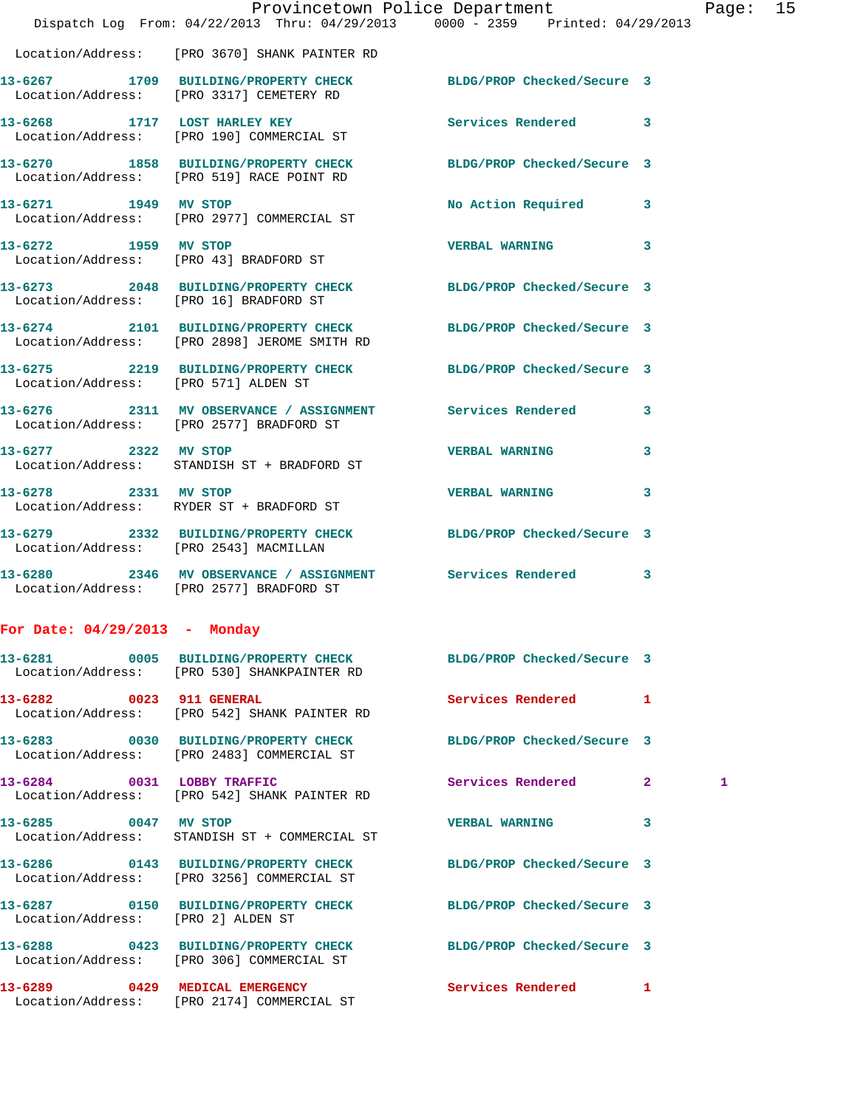|                                        |                                                                                                                 | Provincetown Police Department | Pag               |
|----------------------------------------|-----------------------------------------------------------------------------------------------------------------|--------------------------------|-------------------|
|                                        | Dispatch Log From: 04/22/2013 Thru: 04/29/2013 0000 - 2359 Printed: 04/29/2013                                  |                                |                   |
|                                        | Location/Address: [PRO 3670] SHANK PAINTER RD                                                                   |                                |                   |
|                                        | 13-6267 1709 BUILDING/PROPERTY CHECK BLDG/PROP Checked/Secure 3<br>Location/Address: [PRO 3317] CEMETERY RD     |                                |                   |
|                                        | 13-6268 1717 LOST HARLEY KEY<br>Location/Address: [PRO 190] COMMERCIAL ST                                       | Services Rendered              | 3                 |
|                                        | 13-6270 1858 BUILDING/PROPERTY CHECK BLDG/PROP Checked/Secure 3<br>Location/Address: [PRO 519] RACE POINT RD    |                                |                   |
|                                        | 13-6271 1949 MV STOP<br>Location/Address: [PRO 2977] COMMERCIAL ST                                              | No Action Required             | 3                 |
| 13-6272 1959 MV STOP                   | Location/Address: [PRO 43] BRADFORD ST                                                                          | <b>VERBAL WARNING</b>          | 3                 |
|                                        | 13-6273 2048 BUILDING/PROPERTY CHECK BLDG/PROP Checked/Secure 3<br>Location/Address: [PRO 16] BRADFORD ST       |                                |                   |
|                                        | 13-6274 2101 BUILDING/PROPERTY CHECK BLDG/PROP Checked/Secure 3<br>Location/Address: [PRO 2898] JEROME SMITH RD |                                |                   |
| Location/Address: [PRO 571] ALDEN ST   | 13-6275 2219 BUILDING/PROPERTY CHECK BLDG/PROP Checked/Secure 3                                                 |                                |                   |
|                                        | 13-6276 2311 MV OBSERVANCE / ASSIGNMENT Services Rendered<br>Location/Address: [PRO 2577] BRADFORD ST           |                                | 3                 |
| 13-6277 2322 MV STOP                   | Location/Address: STANDISH ST + BRADFORD ST                                                                     | <b>VERBAL WARNING</b>          | 3                 |
| 13-6278 2331 MV STOP                   | Location/Address: RYDER ST + BRADFORD ST                                                                        | <b>VERBAL WARNING</b>          | 3                 |
| Location/Address: [PRO 2543] MACMILLAN | 13-6279 2332 BUILDING/PROPERTY CHECK BLDG/PROP Checked/Secure 3                                                 |                                |                   |
|                                        | 13-6280 2346 MV OBSERVANCE / ASSIGNMENT Services Rendered<br>Location/Address: [PRO 2577] BRADFORD ST           |                                | 3                 |
| For Date: $04/29/2013$ - Monday        |                                                                                                                 |                                |                   |
|                                        | 13-6281 0005 BUILDING/PROPERTY CHECK BLDG/PROP Checked/Secure 3<br>Location/Address: [PRO 530] SHANKPAINTER RD  |                                |                   |
| 13-6282 0023 911 GENERAL               | Location/Address: [PRO 542] SHANK PAINTER RD                                                                    | Services Rendered              | $\mathbf{1}$      |
|                                        | 13-6283 0030 BUILDING/PROPERTY CHECK BLDG/PROP Checked/Secure 3<br>Location/Address: [PRO 2483] COMMERCIAL ST   |                                |                   |
|                                        | 13-6284 0031 LOBBY TRAFFIC<br>Location/Address: [PRO 542] SHANK PAINTER RD                                      | Services Rendered              | $\mathbf{2}$<br>1 |
| 13-6285 0047 MV STOP                   | Location/Address: STANDISH ST + COMMERCIAL ST                                                                   | <b>VERBAL WARNING</b>          | 3                 |
|                                        | 13-6286 0143 BUILDING/PROPERTY CHECK BLDG/PROP Checked/Secure 3<br>Location/Address: [PRO 3256] COMMERCIAL ST   |                                |                   |
| Location/Address: [PRO 2] ALDEN ST     | 13-6287 0150 BUILDING/PROPERTY CHECK BLDG/PROP Checked/Secure 3                                                 |                                |                   |
|                                        | 13-6288 0423 BUILDING/PROPERTY CHECK BLDG/PROP Checked/Secure 3<br>Location/Address: [PRO 306] COMMERCIAL ST    |                                |                   |
|                                        | 13-6289 0429 MEDICAL EMERGENCY<br>Location/Address: [PRO 2174] COMMERCIAL ST                                    | Services Rendered              | 1                 |

age: 15